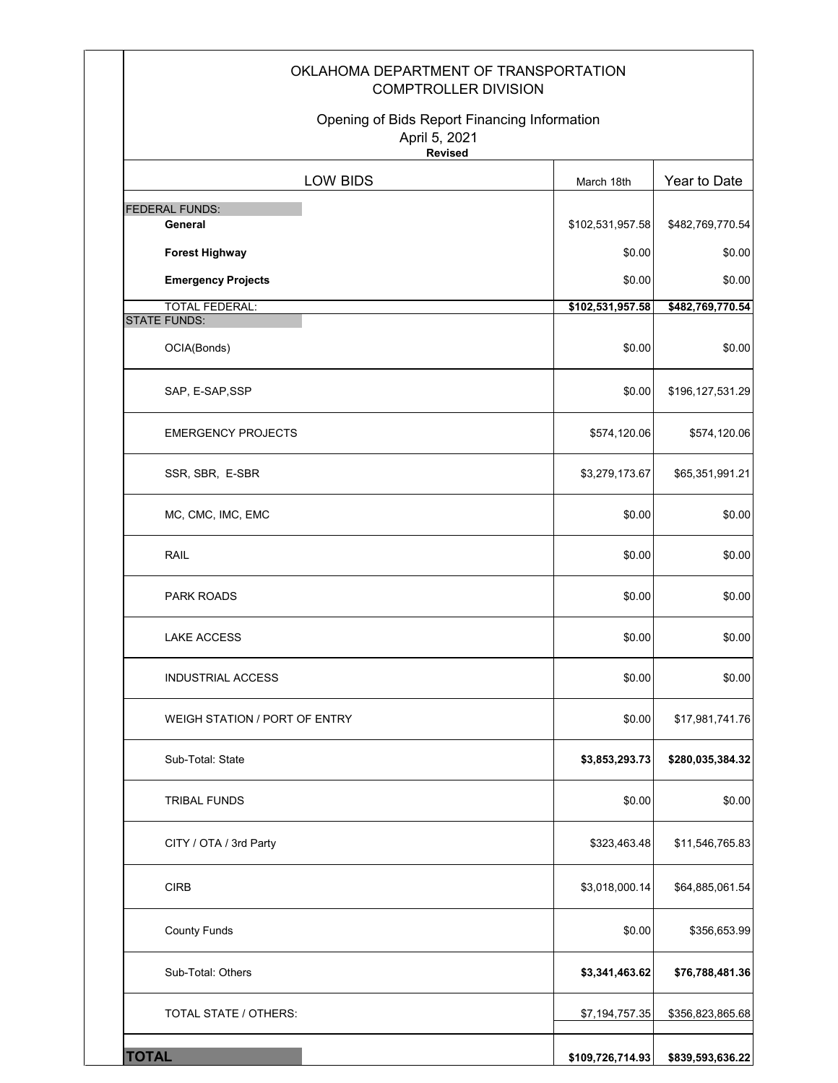| OKLAHOMA DEPARTMENT OF TRANSPORTATION<br><b>COMPTROLLER DIVISION</b>            |                  |                  |
|---------------------------------------------------------------------------------|------------------|------------------|
| Opening of Bids Report Financing Information<br>April 5, 2021<br><b>Revised</b> |                  |                  |
| LOW BIDS                                                                        | March 18th       | Year to Date     |
| <b>FEDERAL FUNDS:</b><br>General                                                | \$102,531,957.58 | \$482,769,770.54 |
| <b>Forest Highway</b>                                                           | \$0.00           | \$0.00           |
| <b>Emergency Projects</b>                                                       | \$0.00           | \$0.00           |
| <b>TOTAL FEDERAL:</b>                                                           | \$102,531,957.58 | \$482,769,770.54 |
| <b>STATE FUNDS:</b><br>OCIA(Bonds)                                              | \$0.00           | \$0.00           |
| SAP, E-SAP, SSP                                                                 | \$0.00           | \$196,127,531.29 |
| <b>EMERGENCY PROJECTS</b>                                                       | \$574,120.06     | \$574,120.06     |
| SSR, SBR, E-SBR                                                                 | \$3,279,173.67   | \$65,351,991.21  |
| MC, CMC, IMC, EMC                                                               | \$0.00           | \$0.00           |
| RAIL                                                                            | \$0.00           | \$0.00           |
| PARK ROADS                                                                      | \$0.00           | \$0.00           |
| <b>LAKE ACCESS</b>                                                              | \$0.00           | \$0.00           |
| <b>INDUSTRIAL ACCESS</b>                                                        | \$0.00           | \$0.00           |
| WEIGH STATION / PORT OF ENTRY                                                   | \$0.00           | \$17,981,741.76  |
| Sub-Total: State                                                                | \$3,853,293.73   | \$280,035,384.32 |
| <b>TRIBAL FUNDS</b>                                                             | \$0.00           | \$0.00           |
| CITY / OTA / 3rd Party                                                          | \$323,463.48     | \$11,546,765.83  |
| <b>CIRB</b>                                                                     | \$3,018,000.14   | \$64,885,061.54  |
| <b>County Funds</b>                                                             | \$0.00           | \$356,653.99     |
| Sub-Total: Others                                                               | \$3,341,463.62   | \$76,788,481.36  |
| TOTAL STATE / OTHERS:                                                           | \$7,194,757.35   | \$356,823,865.68 |
| <b>TOTAL</b>                                                                    | \$109,726,714.93 | \$839,593,636.22 |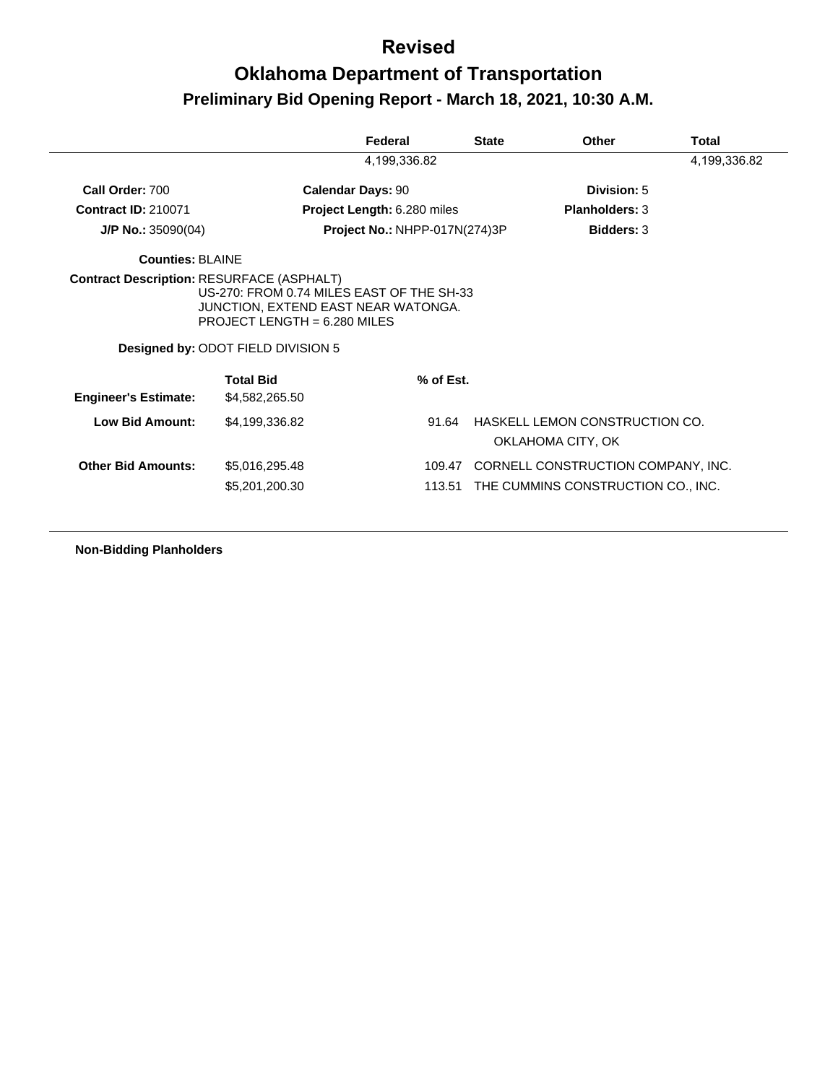#### **Revised**

# **Oklahoma Department of Transportation Preliminary Bid Opening Report - March 18, 2021, 10:30 A.M.**

|                                                  |                                                                                                                                                          | Federal                            | <b>State</b> | Other                                               | Total        |
|--------------------------------------------------|----------------------------------------------------------------------------------------------------------------------------------------------------------|------------------------------------|--------------|-----------------------------------------------------|--------------|
|                                                  |                                                                                                                                                          | 4,199,336.82                       |              |                                                     | 4,199,336.82 |
| Call Order: 700                                  |                                                                                                                                                          | <b>Calendar Days: 90</b>           |              | Division: 5                                         |              |
| <b>Contract ID: 210071</b>                       |                                                                                                                                                          | <b>Project Length: 6.280 miles</b> |              | <b>Planholders: 3</b>                               |              |
| $J/P$ No.: 35090(04)                             |                                                                                                                                                          | Project No.: NHPP-017N(274)3P      |              | <b>Bidders: 3</b>                                   |              |
| <b>Counties: BLAINE</b>                          |                                                                                                                                                          |                                    |              |                                                     |              |
| <b>Contract Description: RESURFACE (ASPHALT)</b> | US-270: FROM 0.74 MILES EAST OF THE SH-33<br>JUNCTION, EXTEND EAST NEAR WATONGA.<br>PROJECT LENGTH = $6.280$ MILES<br>Designed by: ODOT FIELD DIVISION 5 |                                    |              |                                                     |              |
| <b>Engineer's Estimate:</b>                      | <b>Total Bid</b><br>\$4,582,265.50                                                                                                                       | % of Est.                          |              |                                                     |              |
| Low Bid Amount:                                  | \$4,199,336.82                                                                                                                                           | 91.64                              |              | HASKELL LEMON CONSTRUCTION CO.<br>OKLAHOMA CITY, OK |              |
| <b>Other Bid Amounts:</b>                        | \$5,016,295.48                                                                                                                                           | 109.47                             |              | CORNELL CONSTRUCTION COMPANY, INC.                  |              |
|                                                  | \$5,201,200.30                                                                                                                                           | 113.51                             |              | THE CUMMINS CONSTRUCTION CO., INC.                  |              |

**Non-Bidding Planholders**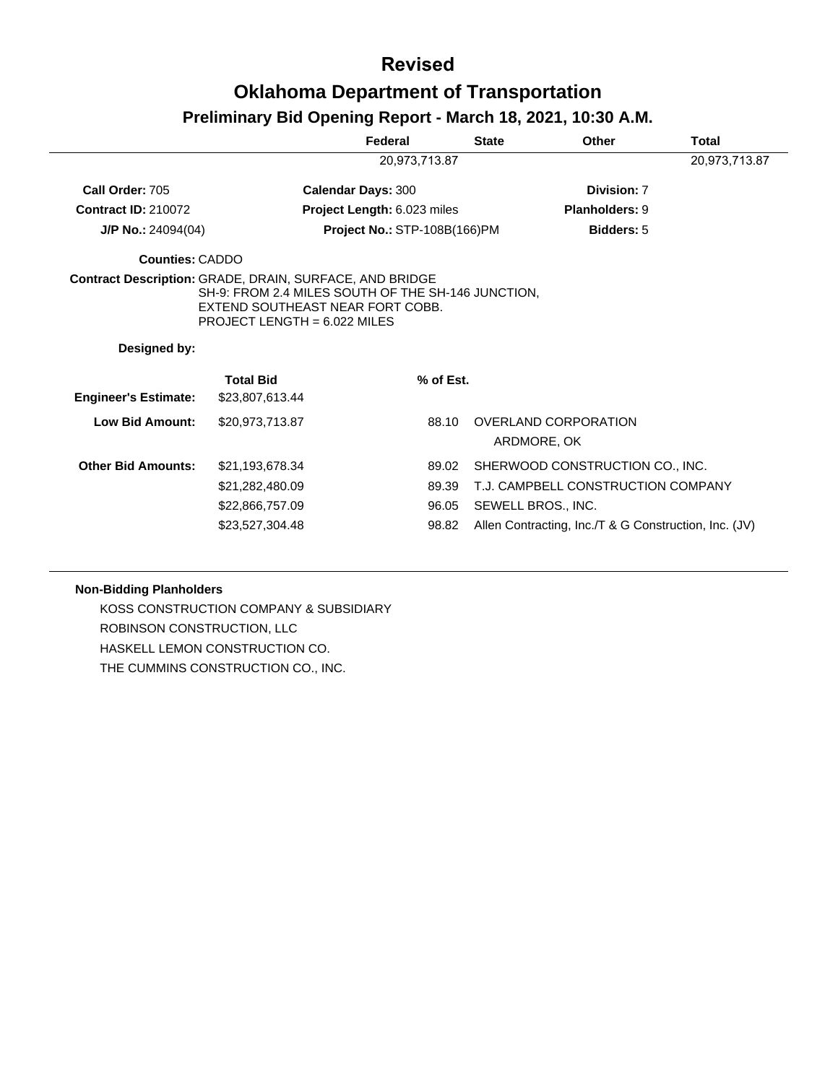# **Revised Oklahoma Department of Transportation**

# **Preliminary Bid Opening Report - March 18, 2021, 10:30 A.M.**

|                             |                                                                                                                          | Federal                      | <b>State</b> | <b>Other</b>                                          | <b>Total</b>  |
|-----------------------------|--------------------------------------------------------------------------------------------------------------------------|------------------------------|--------------|-------------------------------------------------------|---------------|
|                             |                                                                                                                          | 20,973,713.87                |              |                                                       | 20,973,713.87 |
| Call Order: 705             |                                                                                                                          | <b>Calendar Days: 300</b>    |              | Division: 7                                           |               |
| <b>Contract ID: 210072</b>  |                                                                                                                          | Project Length: 6.023 miles  |              | <b>Planholders: 9</b>                                 |               |
| <b>J/P No.:</b> 24094(04)   |                                                                                                                          | Project No.: STP-108B(166)PM |              | <b>Bidders: 5</b>                                     |               |
| <b>Counties: CADDO</b>      |                                                                                                                          |                              |              |                                                       |               |
| Designed by:                | SH-9: FROM 2.4 MILES SOUTH OF THE SH-146 JUNCTION,<br>EXTEND SOUTHEAST NEAR FORT COBB.<br>PROJECT LENGTH = $6.022$ MILES |                              |              |                                                       |               |
| <b>Engineer's Estimate:</b> | <b>Total Bid</b><br>\$23,807,613.44                                                                                      | % of Est.                    |              |                                                       |               |
| <b>Low Bid Amount:</b>      | \$20,973,713.87                                                                                                          | 88.10                        |              | OVERLAND CORPORATION<br>ARDMORE, OK                   |               |
| <b>Other Bid Amounts:</b>   | \$21,193,678.34                                                                                                          | 89.02                        |              | SHERWOOD CONSTRUCTION CO., INC.                       |               |
|                             | \$21,282,480.09                                                                                                          | 89.39                        |              | T.J. CAMPBELL CONSTRUCTION COMPANY                    |               |
|                             | \$22,866,757.09                                                                                                          | 96.05                        |              | SEWELL BROS., INC.                                    |               |
|                             | \$23,527,304.48                                                                                                          | 98.82                        |              | Allen Contracting, Inc./T & G Construction, Inc. (JV) |               |

#### **Non-Bidding Planholders**

KOSS CONSTRUCTION COMPANY & SUBSIDIARY ROBINSON CONSTRUCTION, LLC HASKELL LEMON CONSTRUCTION CO. THE CUMMINS CONSTRUCTION CO., INC.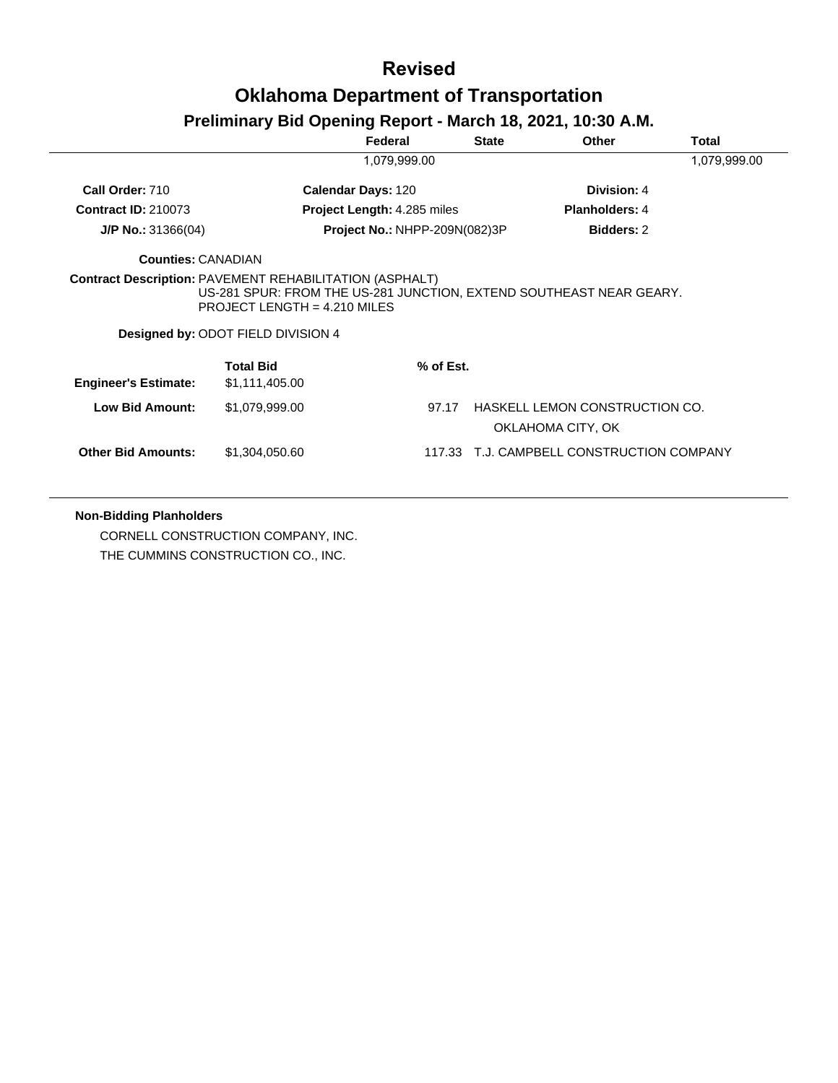#### **Revised**

### **Oklahoma Department of Transportation**

#### **Preliminary Bid Opening Report - March 18, 2021, 10:30 A.M.**

|                                                                |                                                                                                                                             | Federal                            | <b>State</b> | <b>Other</b>                                        | Total        |
|----------------------------------------------------------------|---------------------------------------------------------------------------------------------------------------------------------------------|------------------------------------|--------------|-----------------------------------------------------|--------------|
|                                                                |                                                                                                                                             | 1,079,999.00                       |              |                                                     | 1,079,999.00 |
| Call Order: 710                                                |                                                                                                                                             | <b>Calendar Days: 120</b>          |              | Division: 4                                         |              |
| <b>Contract ID: 210073</b>                                     |                                                                                                                                             | <b>Project Length: 4.285 miles</b> |              | <b>Planholders: 4</b>                               |              |
| $J/P$ No.: 31366(04)                                           |                                                                                                                                             | Project No.: NHPP-209N(082)3P      |              | <b>Bidders: 2</b>                                   |              |
| <b>Counties: CANADIAN</b>                                      |                                                                                                                                             |                                    |              |                                                     |              |
| <b>Contract Description: PAVEMENT REHABILITATION (ASPHALT)</b> |                                                                                                                                             |                                    |              |                                                     |              |
|                                                                | US-281 SPUR: FROM THE US-281 JUNCTION, EXTEND SOUTHEAST NEAR GEARY.<br>PROJECT LENGTH = $4.210$ MILES<br>Designed by: ODOT FIELD DIVISION 4 |                                    |              |                                                     |              |
| <b>Engineer's Estimate:</b>                                    | Total Bid<br>\$1,111,405.00                                                                                                                 | % of Est.                          |              |                                                     |              |
| <b>Low Bid Amount:</b>                                         | \$1,079,999.00                                                                                                                              | 97.17                              |              | HASKELL LEMON CONSTRUCTION CO.<br>OKLAHOMA CITY, OK |              |

#### **Non-Bidding Planholders**

CORNELL CONSTRUCTION COMPANY, INC. THE CUMMINS CONSTRUCTION CO., INC.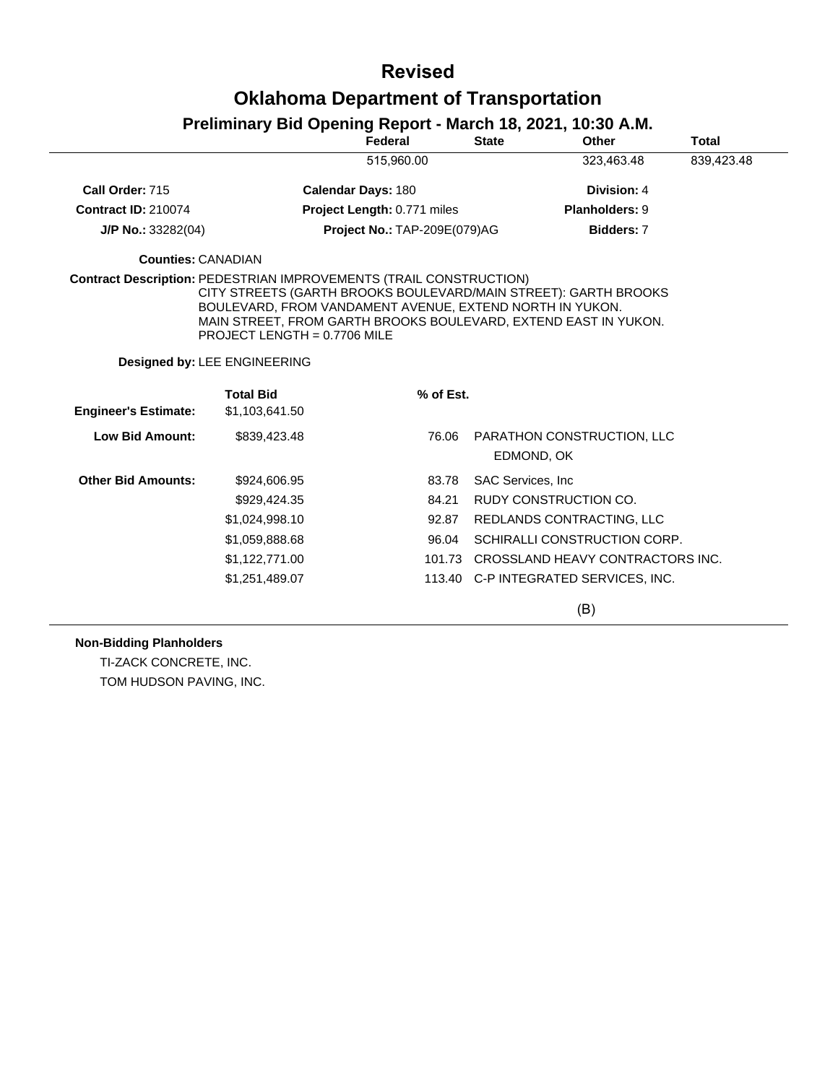### **Revised**

### **Oklahoma Department of Transportation**

|                                                                           | $\blacksquare$                                                                             | Federal                             | <b>State</b> | Other                                                                                                                              | <b>Total</b> |
|---------------------------------------------------------------------------|--------------------------------------------------------------------------------------------|-------------------------------------|--------------|------------------------------------------------------------------------------------------------------------------------------------|--------------|
|                                                                           |                                                                                            | 515.960.00                          |              | 323,463.48                                                                                                                         | 839,423.48   |
| Call Order: 715                                                           |                                                                                            | <b>Calendar Days: 180</b>           |              | Division: 4                                                                                                                        |              |
| <b>Contract ID: 210074</b>                                                |                                                                                            | Project Length: 0.771 miles         |              | Planholders: 9                                                                                                                     |              |
| $J/P$ No.: 33282(04)                                                      |                                                                                            | <b>Project No.: TAP-209E(079)AG</b> |              | Bidders: 7                                                                                                                         |              |
| <b>Counties: CANADIAN</b>                                                 |                                                                                            |                                     |              |                                                                                                                                    |              |
| <b>Contract Description: PEDESTRIAN IMPROVEMENTS (TRAIL CONSTRUCTION)</b> | BOULEVARD, FROM VANDAMENT AVENUE, EXTEND NORTH IN YUKON.<br>PROJECT LENGTH = $0.7706$ MILE |                                     |              | CITY STREETS (GARTH BROOKS BOULEVARD/MAIN STREET): GARTH BROOKS<br>MAIN STREET, FROM GARTH BROOKS BOULEVARD, EXTEND EAST IN YUKON. |              |
|                                                                           | Designed by: LEE ENGINEERING                                                               |                                     |              |                                                                                                                                    |              |
|                                                                           | <b>Total Bid</b>                                                                           | % of Est.                           |              |                                                                                                                                    |              |
| <b>Engineer's Estimate:</b>                                               | \$1,103,641.50                                                                             |                                     |              |                                                                                                                                    |              |
| <b>Low Bid Amount:</b>                                                    | \$839,423.48                                                                               | 76.06                               |              | PARATHON CONSTRUCTION, LLC<br>EDMOND, OK                                                                                           |              |
| <b>Other Bid Amounts:</b>                                                 | \$924,606.95                                                                               | 83.78                               |              | <b>SAC Services, Inc.</b>                                                                                                          |              |
|                                                                           | \$929.424.35                                                                               | 84.21                               |              | RUDY CONSTRUCTION CO.                                                                                                              |              |
|                                                                           | \$1,024,998.10                                                                             | 92.87                               |              | REDLANDS CONTRACTING, LLC                                                                                                          |              |
|                                                                           | \$1,059,888.68                                                                             | 96.04                               |              | SCHIRALLI CONSTRUCTION CORP.                                                                                                       |              |
|                                                                           | \$1,122,771.00                                                                             |                                     |              | 101.73 CROSSLAND HEAVY CONTRACTORS INC.                                                                                            |              |
|                                                                           | \$1,251,489.07                                                                             |                                     |              | 113.40 C-P INTEGRATED SERVICES, INC.                                                                                               |              |
|                                                                           |                                                                                            |                                     |              | (B)                                                                                                                                |              |

### **Preliminary Bid Opening Report - March 18, 2021, 10:30 A.M.**

**Non-Bidding Planholders**

TI-ZACK CONCRETE, INC. TOM HUDSON PAVING, INC.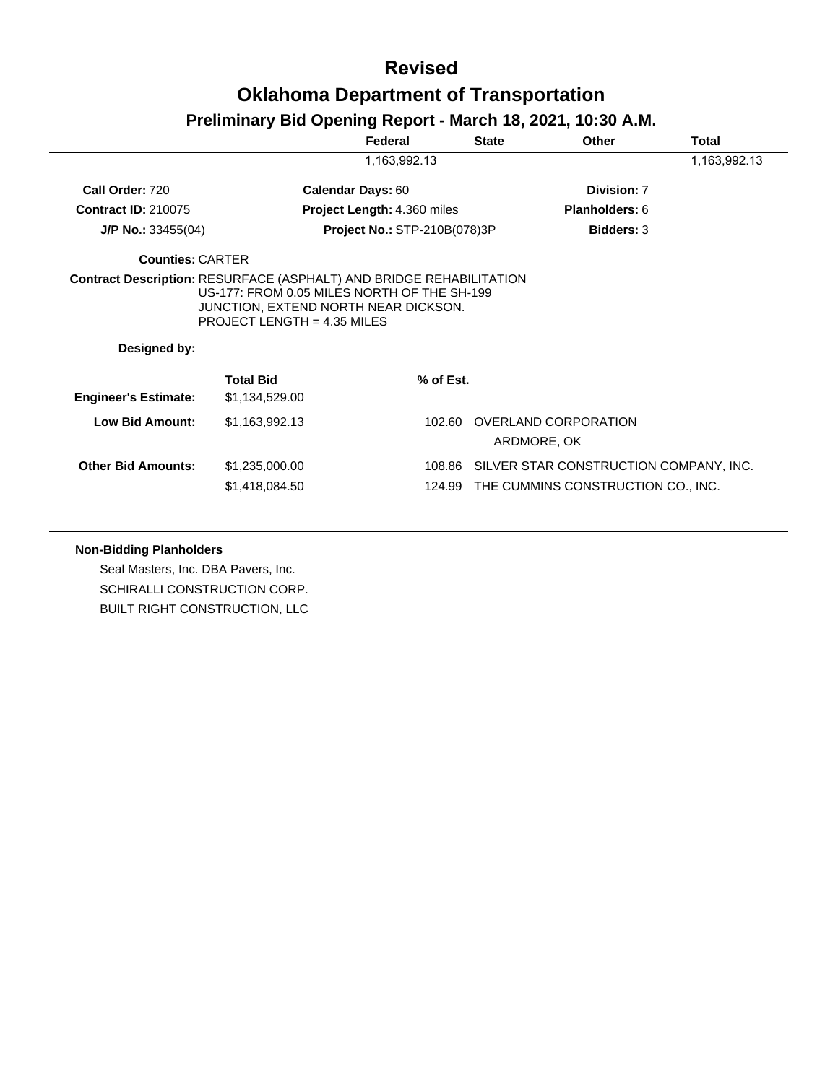# **Revised Oklahoma Department of Transportation**

#### **Preliminary Bid Opening Report - March 18, 2021, 10:30 A.M.**

|                             |                                                                       | Federal                             | <b>State</b> | <b>Other</b>                                  | Total        |
|-----------------------------|-----------------------------------------------------------------------|-------------------------------------|--------------|-----------------------------------------------|--------------|
|                             |                                                                       | 1,163,992.13                        |              |                                               | 1,163,992.13 |
| Call Order: 720             |                                                                       | <b>Calendar Days: 60</b>            |              | Division: 7                                   |              |
| <b>Contract ID: 210075</b>  |                                                                       | Project Length: 4.360 miles         |              | Planholders: 6                                |              |
| $J/P$ No.: 33455(04)        |                                                                       | <b>Project No.: STP-210B(078)3P</b> |              | <b>Bidders: 3</b>                             |              |
| <b>Counties: CARTER</b>     |                                                                       |                                     |              |                                               |              |
|                             | US-177: FROM 0.05 MILES NORTH OF THE SH-199                           |                                     |              |                                               |              |
| Designed by:                | JUNCTION, EXTEND NORTH NEAR DICKSON.<br>PROJECT LENGTH = $4.35$ MILES |                                     |              |                                               |              |
| <b>Engineer's Estimate:</b> | <b>Total Bid</b><br>\$1,134,529.00                                    | % of Est.                           |              |                                               |              |
| <b>Low Bid Amount:</b>      | \$1,163,992.13                                                        | 102.60                              |              | OVERLAND CORPORATION<br>ARDMORE, OK           |              |
| <b>Other Bid Amounts:</b>   | \$1,235,000.00                                                        |                                     |              | 108.86 SILVER STAR CONSTRUCTION COMPANY, INC. |              |

#### **Non-Bidding Planholders**

Seal Masters, Inc. DBA Pavers, Inc. SCHIRALLI CONSTRUCTION CORP. BUILT RIGHT CONSTRUCTION, LLC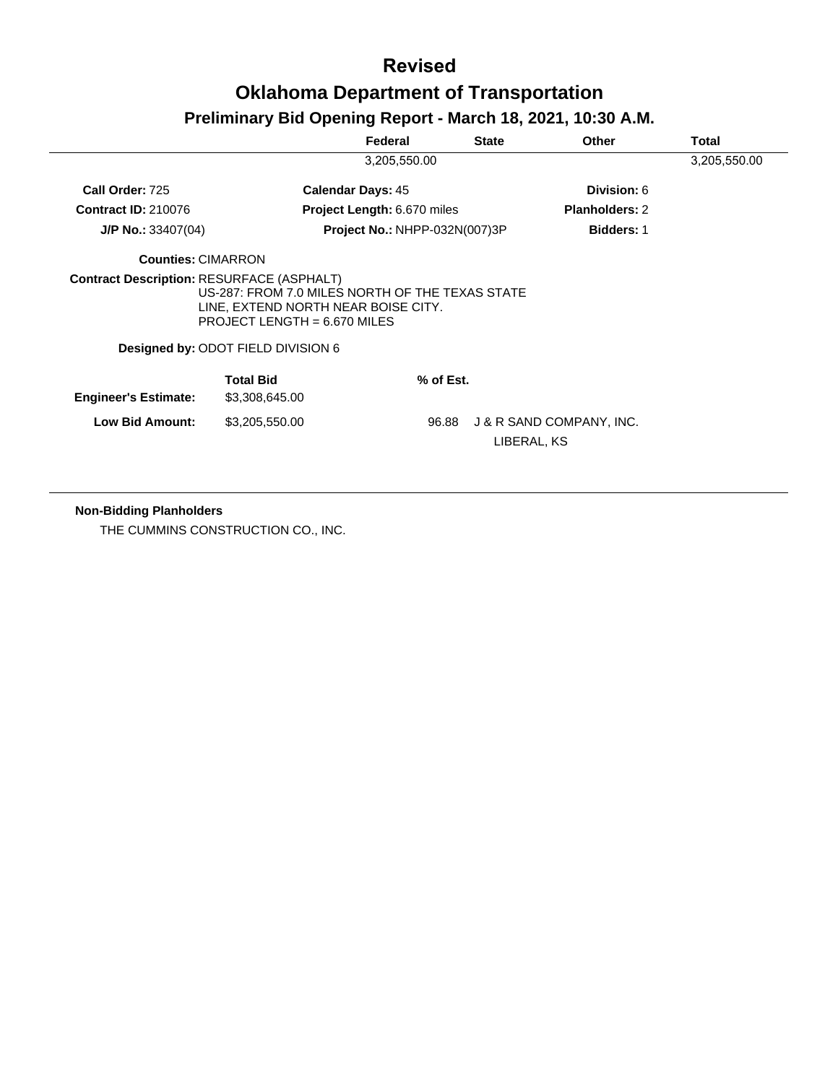# **Revised Oklahoma Department of Transportation**

#### **Preliminary Bid Opening Report - March 18, 2021, 10:30 A.M.**

|                                                  |                                                                                                                          | Federal                              | <b>State</b> | <b>Other</b>             | <b>Total</b> |
|--------------------------------------------------|--------------------------------------------------------------------------------------------------------------------------|--------------------------------------|--------------|--------------------------|--------------|
|                                                  |                                                                                                                          | 3,205,550.00                         |              |                          | 3,205,550.00 |
| Call Order: 725                                  |                                                                                                                          | <b>Calendar Days: 45</b>             |              | Division: 6              |              |
| <b>Contract ID: 210076</b>                       |                                                                                                                          | <b>Project Length: 6.670 miles</b>   |              | <b>Planholders: 2</b>    |              |
| $J/P$ No.: 33407(04)                             |                                                                                                                          | <b>Project No.: NHPP-032N(007)3P</b> |              | <b>Bidders: 1</b>        |              |
| <b>Counties: CIMARRON</b>                        |                                                                                                                          |                                      |              |                          |              |
| <b>Contract Description: RESURFACE (ASPHALT)</b> | US-287: FROM 7.0 MILES NORTH OF THE TEXAS STATE<br>LINE, EXTEND NORTH NEAR BOISE CITY.<br>PROJECT LENGTH = $6.670$ MILES |                                      |              |                          |              |
|                                                  | Designed by: ODOT FIELD DIVISION 6                                                                                       |                                      |              |                          |              |
| <b>Engineer's Estimate:</b>                      | <b>Total Bid</b><br>\$3,308,645.00                                                                                       | % of Est.                            |              |                          |              |
| Low Bid Amount:                                  | \$3,205,550.00                                                                                                           | 96.88                                | LIBERAL, KS  | J & R SAND COMPANY, INC. |              |

#### **Non-Bidding Planholders**

THE CUMMINS CONSTRUCTION CO., INC.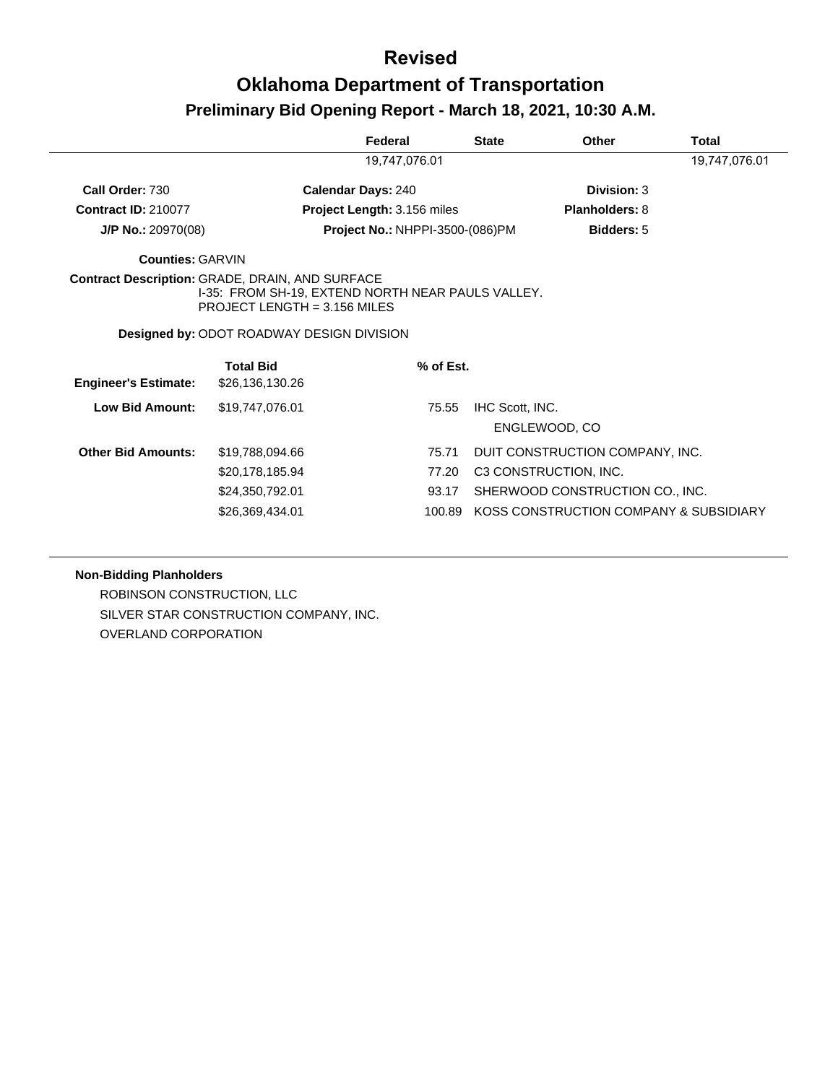|                             |                                                                                                                                             | Federal                                |           | <b>State</b>    | Other                                  | Total         |
|-----------------------------|---------------------------------------------------------------------------------------------------------------------------------------------|----------------------------------------|-----------|-----------------|----------------------------------------|---------------|
|                             |                                                                                                                                             | 19,747,076.01                          |           |                 |                                        | 19,747,076.01 |
| Call Order: 730             |                                                                                                                                             | <b>Calendar Days: 240</b>              |           |                 | Division: 3                            |               |
| <b>Contract ID: 210077</b>  |                                                                                                                                             | Project Length: 3.156 miles            |           |                 | <b>Planholders: 8</b>                  |               |
| J/P No.: 20970(08)          |                                                                                                                                             | <b>Project No.: NHPPI-3500-(086)PM</b> |           |                 | <b>Bidders: 5</b>                      |               |
| <b>Counties: GARVIN</b>     |                                                                                                                                             |                                        |           |                 |                                        |               |
|                             | <b>Contract Description: GRADE, DRAIN, AND SURFACE</b><br>I-35: FROM SH-19, EXTEND NORTH NEAR PAULS VALLEY.<br>PROJECT LENGTH = 3.156 MILES |                                        |           |                 |                                        |               |
|                             | <b>Designed by: ODOT ROADWAY DESIGN DIVISION</b>                                                                                            |                                        |           |                 |                                        |               |
|                             | <b>Total Bid</b>                                                                                                                            |                                        | % of Est. |                 |                                        |               |
| <b>Engineer's Estimate:</b> | \$26,136,130.26                                                                                                                             |                                        |           |                 |                                        |               |
| <b>Low Bid Amount:</b>      | \$19,747,076.01                                                                                                                             |                                        | 75.55     | IHC Scott, INC. |                                        |               |
|                             |                                                                                                                                             |                                        |           |                 | ENGLEWOOD, CO                          |               |
| <b>Other Bid Amounts:</b>   | \$19,788,094.66                                                                                                                             |                                        | 75.71     |                 | DUIT CONSTRUCTION COMPANY, INC.        |               |
|                             | \$20,178,185.94                                                                                                                             |                                        | 77.20     |                 | C3 CONSTRUCTION, INC.                  |               |
|                             | \$24,350,792.01                                                                                                                             |                                        | 93.17     |                 | SHERWOOD CONSTRUCTION CO., INC.        |               |
|                             | \$26,369,434.01                                                                                                                             |                                        | 100.89    |                 | KOSS CONSTRUCTION COMPANY & SUBSIDIARY |               |

#### **Non-Bidding Planholders**

ROBINSON CONSTRUCTION, LLC SILVER STAR CONSTRUCTION COMPANY, INC. OVERLAND CORPORATION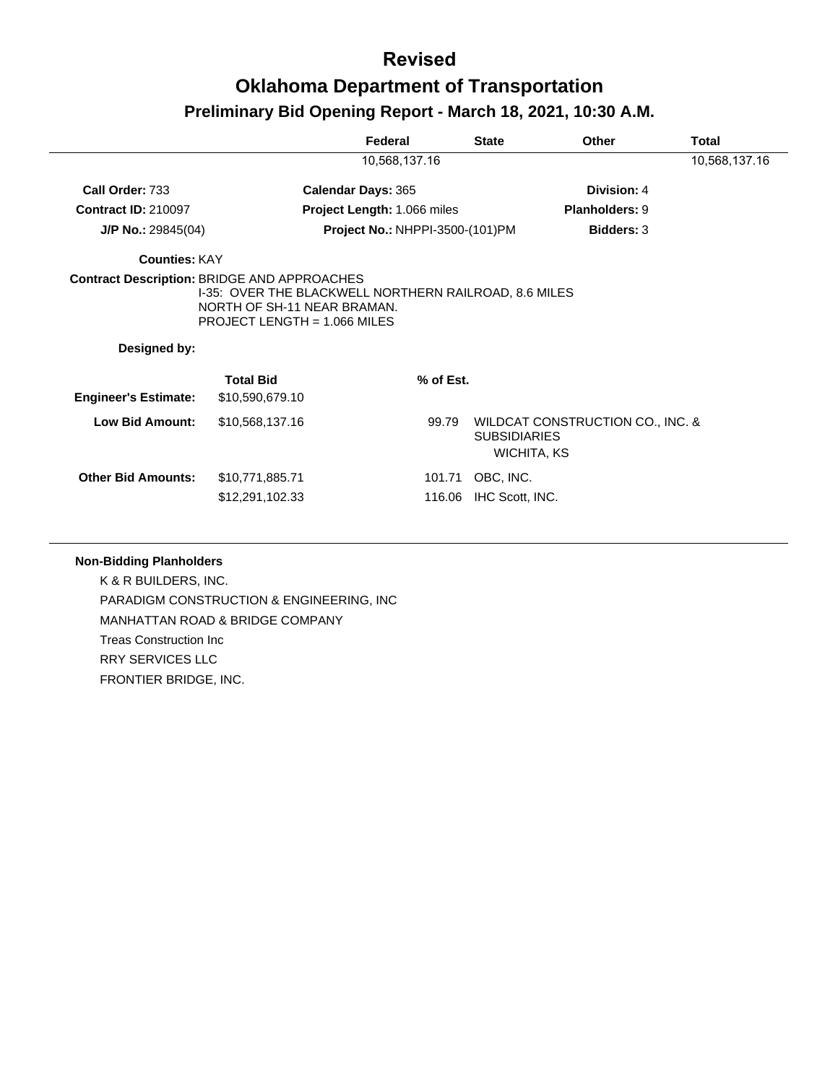|                             |                                                                                                                                                                            | Federal                                |           | <b>State</b>                       | Other                            | <b>Total</b>  |
|-----------------------------|----------------------------------------------------------------------------------------------------------------------------------------------------------------------------|----------------------------------------|-----------|------------------------------------|----------------------------------|---------------|
|                             |                                                                                                                                                                            | 10,568,137.16                          |           |                                    |                                  | 10,568,137.16 |
| Call Order: 733             |                                                                                                                                                                            | <b>Calendar Days: 365</b>              |           |                                    | Division: 4                      |               |
| <b>Contract ID: 210097</b>  |                                                                                                                                                                            | Project Length: 1.066 miles            |           |                                    | <b>Planholders: 9</b>            |               |
| $J/P$ No.: 29845(04)        |                                                                                                                                                                            | <b>Project No.: NHPPI-3500-(101)PM</b> |           |                                    | <b>Bidders: 3</b>                |               |
| <b>Counties: KAY</b>        |                                                                                                                                                                            |                                        |           |                                    |                                  |               |
| Designed by:                | <b>Contract Description: BRIDGE AND APPROACHES</b><br>1-35: OVER THE BLACKWELL NORTHERN RAILROAD, 8.6 MILES<br>NORTH OF SH-11 NEAR BRAMAN.<br>PROJECT LENGTH = 1.066 MILES |                                        |           |                                    |                                  |               |
|                             | <b>Total Bid</b>                                                                                                                                                           |                                        | % of Est. |                                    |                                  |               |
| <b>Engineer's Estimate:</b> | \$10,590,679.10                                                                                                                                                            |                                        |           |                                    |                                  |               |
| <b>Low Bid Amount:</b>      | \$10,568,137.16                                                                                                                                                            |                                        | 99.79     | <b>SUBSIDIARIES</b><br>WICHITA, KS | WILDCAT CONSTRUCTION CO., INC. & |               |
| <b>Other Bid Amounts:</b>   | \$10,771,885.71                                                                                                                                                            |                                        | 101.71    | OBC, INC.                          |                                  |               |
|                             | \$12,291,102.33                                                                                                                                                            |                                        | 116.06    | IHC Scott, INC.                    |                                  |               |

#### **Non-Bidding Planholders**

K & R BUILDERS, INC. PARADIGM CONSTRUCTION & ENGINEERING, INC MANHATTAN ROAD & BRIDGE COMPANY Treas Construction Inc RRY SERVICES LLC FRONTIER BRIDGE, INC.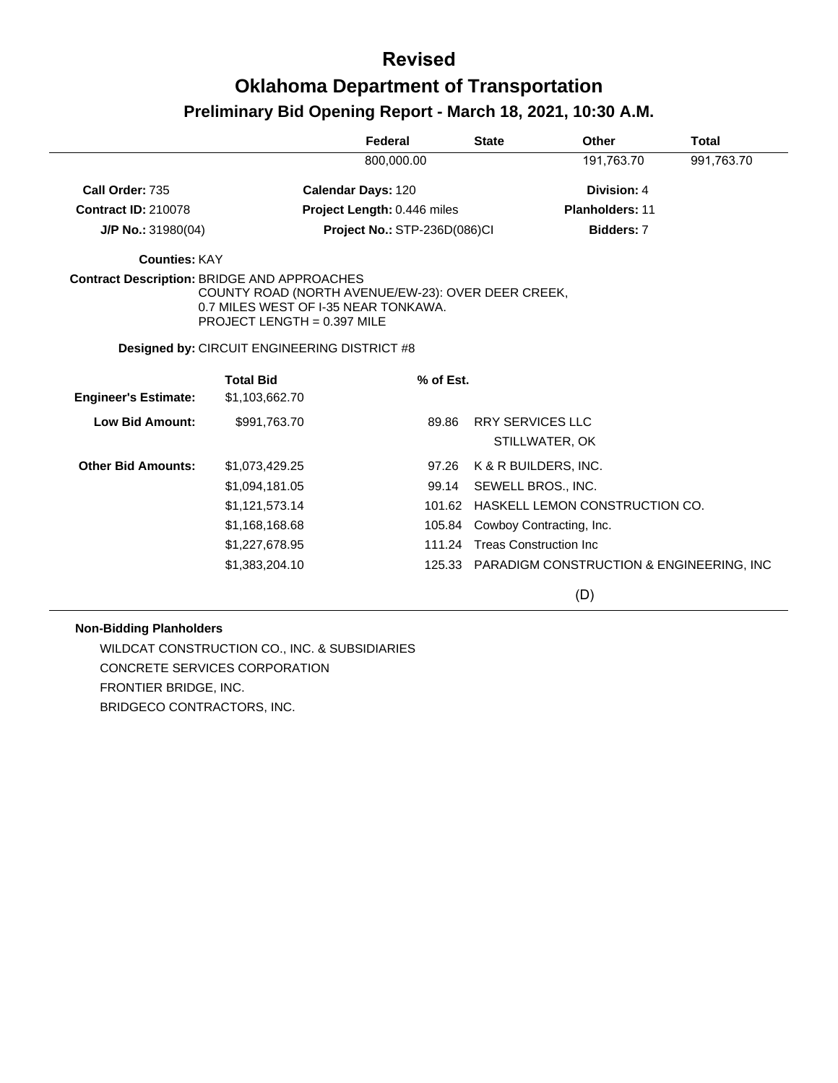|                             |                                                                                                                                                                                   | Federal                      | <b>State</b>            | Other                                           | <b>Total</b> |
|-----------------------------|-----------------------------------------------------------------------------------------------------------------------------------------------------------------------------------|------------------------------|-------------------------|-------------------------------------------------|--------------|
|                             |                                                                                                                                                                                   | 800,000.00                   |                         | 191,763.70                                      | 991,763.70   |
| Call Order: 735             |                                                                                                                                                                                   | <b>Calendar Days: 120</b>    |                         | Division: 4                                     |              |
| <b>Contract ID: 210078</b>  |                                                                                                                                                                                   | Project Length: 0.446 miles  |                         | <b>Planholders: 11</b>                          |              |
| J/P No.: 31980(04)          |                                                                                                                                                                                   | Project No.: STP-236D(086)CI |                         | Bidders: 7                                      |              |
| <b>Counties: KAY</b>        |                                                                                                                                                                                   |                              |                         |                                                 |              |
|                             | <b>Contract Description: BRIDGE AND APPROACHES</b><br>COUNTY ROAD (NORTH AVENUE/EW-23): OVER DEER CREEK,<br>0.7 MILES WEST OF I-35 NEAR TONKAWA.<br>PROJECT LENGTH = $0.397$ MILE |                              |                         |                                                 |              |
|                             | Designed by: CIRCUIT ENGINEERING DISTRICT #8                                                                                                                                      |                              |                         |                                                 |              |
|                             | <b>Total Bid</b>                                                                                                                                                                  | % of Est.                    |                         |                                                 |              |
| <b>Engineer's Estimate:</b> | \$1,103,662.70                                                                                                                                                                    |                              |                         |                                                 |              |
| <b>Low Bid Amount:</b>      | \$991,763.70                                                                                                                                                                      | 89.86                        | <b>RRY SERVICES LLC</b> |                                                 |              |
|                             |                                                                                                                                                                                   |                              |                         | STILLWATER, OK                                  |              |
| <b>Other Bid Amounts:</b>   | \$1,073,429.25                                                                                                                                                                    | 97.26                        |                         | K & R BUILDERS, INC.                            |              |
|                             | \$1,094,181.05                                                                                                                                                                    | 99.14                        |                         | SEWELL BROS., INC.                              |              |
|                             | \$1,121,573.14                                                                                                                                                                    | 101.62                       |                         | HASKELL LEMON CONSTRUCTION CO.                  |              |
|                             | \$1,168,168.68                                                                                                                                                                    | 105.84                       |                         | Cowboy Contracting, Inc.                        |              |
|                             | \$1,227,678.95                                                                                                                                                                    | 111.24                       |                         | <b>Treas Construction Inc</b>                   |              |
|                             | \$1,383,204.10                                                                                                                                                                    |                              |                         | 125.33 PARADIGM CONSTRUCTION & ENGINEERING, INC |              |

(D)

#### **Non-Bidding Planholders**

WILDCAT CONSTRUCTION CO., INC. & SUBSIDIARIES CONCRETE SERVICES CORPORATION FRONTIER BRIDGE, INC. BRIDGECO CONTRACTORS, INC.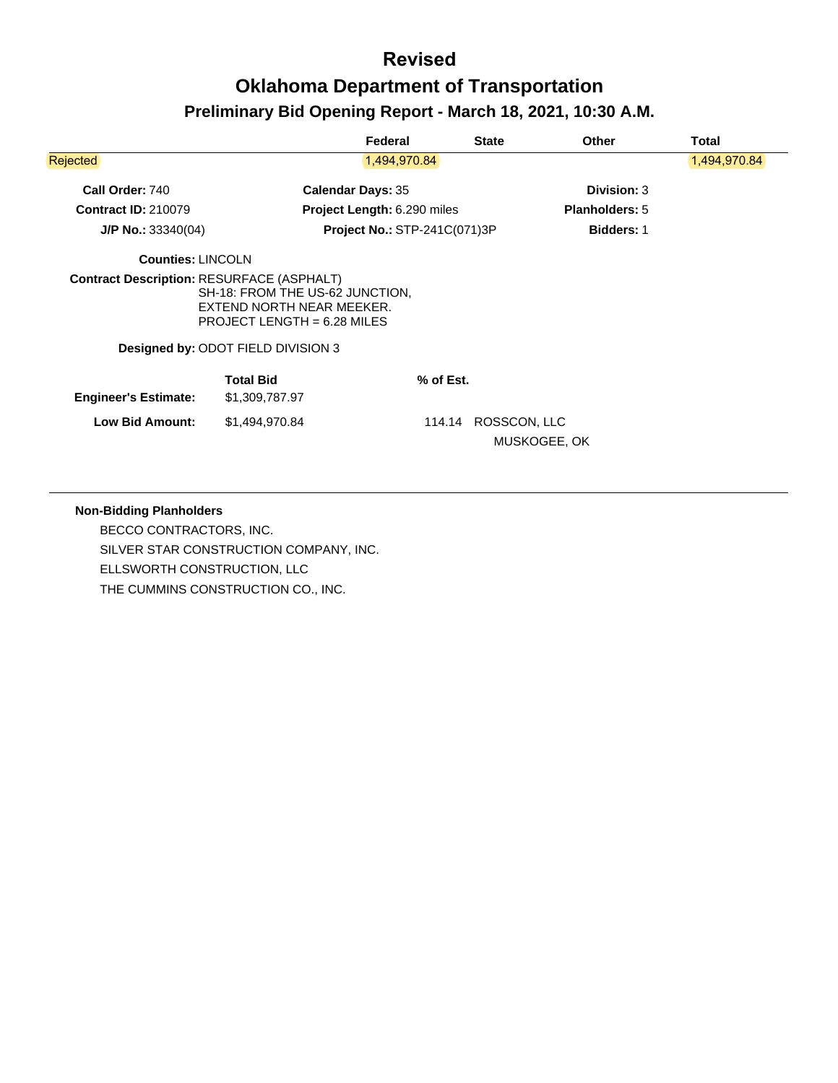|                             |                                                                                                                                            | Federal                             | <b>State</b>           | <b>Other</b>          | Total        |
|-----------------------------|--------------------------------------------------------------------------------------------------------------------------------------------|-------------------------------------|------------------------|-----------------------|--------------|
| <b>Rejected</b>             |                                                                                                                                            | 1,494,970.84                        |                        |                       | 1,494,970.84 |
| Call Order: 740             |                                                                                                                                            | <b>Calendar Days: 35</b>            |                        | Division: 3           |              |
| <b>Contract ID: 210079</b>  |                                                                                                                                            | Project Length: 6.290 miles         |                        | <b>Planholders: 5</b> |              |
| $J/P$ No.: 33340(04)        |                                                                                                                                            | <b>Project No.: STP-241C(071)3P</b> |                        | <b>Bidders: 1</b>     |              |
| <b>Counties: LINCOLN</b>    |                                                                                                                                            |                                     |                        |                       |              |
|                             | SH-18: FROM THE US-62 JUNCTION,<br>EXTEND NORTH NEAR MEEKER.<br>PROJECT LENGTH = $6.28$ MILES<br><b>Designed by: ODOT FIELD DIVISION 3</b> |                                     |                        |                       |              |
| <b>Engineer's Estimate:</b> | <b>Total Bid</b><br>\$1,309,787.97                                                                                                         | % of Est.                           |                        |                       |              |
| <b>Low Bid Amount:</b>      | \$1,494,970.84                                                                                                                             |                                     | ROSSCON, LLC<br>114.14 | MUSKOGEE, OK          |              |

#### **Non-Bidding Planholders**

BECCO CONTRACTORS, INC. SILVER STAR CONSTRUCTION COMPANY, INC. ELLSWORTH CONSTRUCTION, LLC THE CUMMINS CONSTRUCTION CO., INC.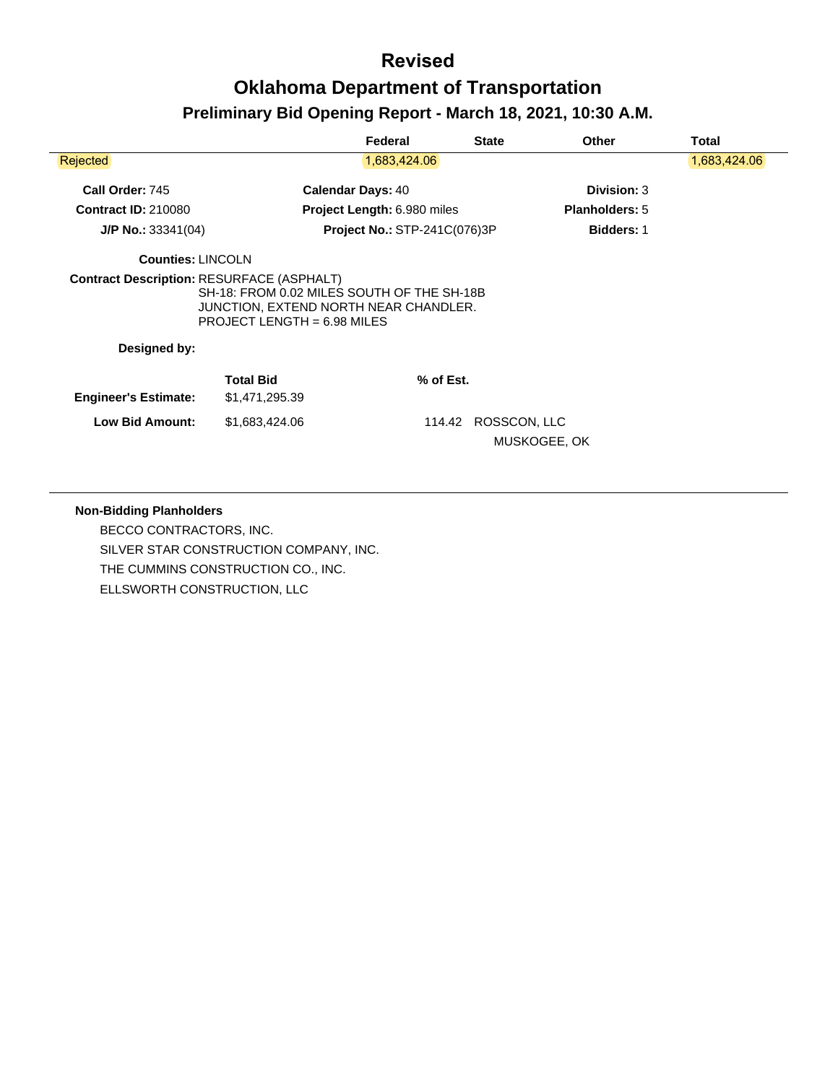|                                                  |                                                                                                                      | Federal                             | <b>State</b> | <b>Other</b>          | Total        |
|--------------------------------------------------|----------------------------------------------------------------------------------------------------------------------|-------------------------------------|--------------|-----------------------|--------------|
| <b>Rejected</b>                                  |                                                                                                                      | 1,683,424.06                        |              |                       | 1,683,424.06 |
| Call Order: 745                                  |                                                                                                                      | <b>Calendar Days: 40</b>            |              | Division: 3           |              |
| <b>Contract ID: 210080</b>                       |                                                                                                                      | Project Length: 6.980 miles         |              | <b>Planholders: 5</b> |              |
| $J/P$ No.: 33341(04)                             |                                                                                                                      | <b>Project No.: STP-241C(076)3P</b> |              | <b>Bidders: 1</b>     |              |
| <b>Counties: LINCOLN</b>                         |                                                                                                                      |                                     |              |                       |              |
| <b>Contract Description: RESURFACE (ASPHALT)</b> | SH-18: FROM 0.02 MILES SOUTH OF THE SH-18B<br>JUNCTION, EXTEND NORTH NEAR CHANDLER.<br>PROJECT LENGTH = $6.98$ MILES |                                     |              |                       |              |
| Designed by:                                     |                                                                                                                      |                                     |              |                       |              |
| <b>Engineer's Estimate:</b>                      | <b>Total Bid</b><br>\$1,471,295.39                                                                                   | % of Est.                           |              |                       |              |
| <b>Low Bid Amount:</b>                           | \$1,683,424.06                                                                                                       | 114.42                              | ROSSCON, LLC | MUSKOGEE, OK          |              |

#### **Non-Bidding Planholders**

BECCO CONTRACTORS, INC. SILVER STAR CONSTRUCTION COMPANY, INC. THE CUMMINS CONSTRUCTION CO., INC. ELLSWORTH CONSTRUCTION, LLC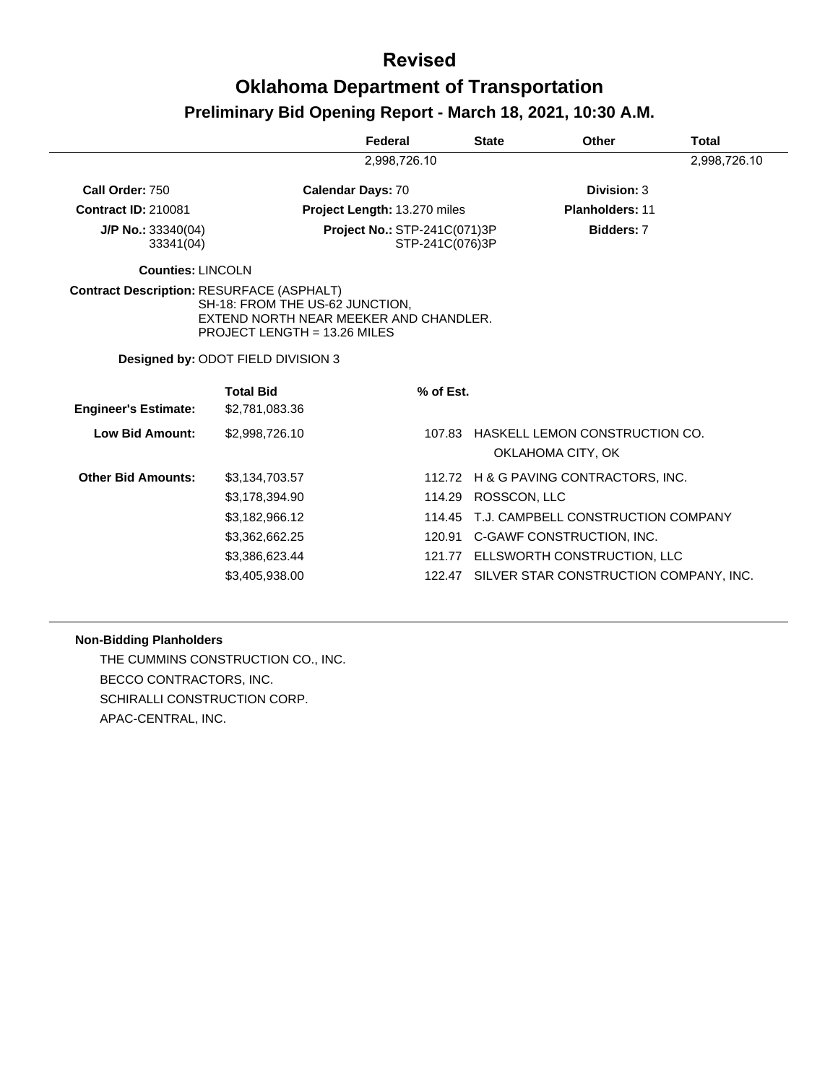|                                                  |                                                                                                                                                        | Federal                                         | <b>State</b> | Other                              | Total        |
|--------------------------------------------------|--------------------------------------------------------------------------------------------------------------------------------------------------------|-------------------------------------------------|--------------|------------------------------------|--------------|
|                                                  |                                                                                                                                                        | 2,998,726.10                                    |              |                                    | 2,998,726.10 |
| Call Order: 750                                  |                                                                                                                                                        | <b>Calendar Days: 70</b>                        |              | Division: 3                        |              |
| <b>Contract ID: 210081</b>                       |                                                                                                                                                        | Project Length: 13.270 miles                    |              | <b>Planholders: 11</b>             |              |
| $J/P$ No.: 33340(04)<br>33341(04)                |                                                                                                                                                        | Project No.: STP-241C(071)3P<br>STP-241C(076)3P |              | Bidders: 7                         |              |
| <b>Counties: LINCOLN</b>                         |                                                                                                                                                        |                                                 |              |                                    |              |
| <b>Contract Description: RESURFACE (ASPHALT)</b> | SH-18: FROM THE US-62 JUNCTION,<br>EXTEND NORTH NEAR MEEKER AND CHANDLER.<br>PROJECT LENGTH = 13.26 MILES<br><b>Designed by: ODOT FIELD DIVISION 3</b> |                                                 |              |                                    |              |
|                                                  |                                                                                                                                                        |                                                 |              |                                    |              |
| <b>Engineer's Estimate:</b>                      | <b>Total Bid</b><br>\$2,781,083.36                                                                                                                     |                                                 | % of Est.    |                                    |              |
| <b>Low Bid Amount:</b>                           | \$2.998.726.10                                                                                                                                         |                                                 | 107.83       | HASKELL LEMON CONSTRUCTION CO.     |              |
|                                                  |                                                                                                                                                        |                                                 |              | OKLAHOMA CITY, OK                  |              |
| <b>Other Bid Amounts:</b>                        | \$3,134,703.57                                                                                                                                         |                                                 | 112.72       | H & G PAVING CONTRACTORS, INC.     |              |
|                                                  | \$3,178,394.90                                                                                                                                         |                                                 | 114.29       | ROSSCON, LLC                       |              |
|                                                  | \$3,182,966.12                                                                                                                                         |                                                 | 114.45       | T.J. CAMPBELL CONSTRUCTION COMPANY |              |
|                                                  | \$3,362,662.25                                                                                                                                         |                                                 | 120.91       | C-GAWF CONSTRUCTION, INC.          |              |
|                                                  | \$3,386,623.44                                                                                                                                         |                                                 | 121.77       | ELLSWORTH CONSTRUCTION, LLC        |              |

#### **Non-Bidding Planholders**

THE CUMMINS CONSTRUCTION CO., INC. BECCO CONTRACTORS, INC. SCHIRALLI CONSTRUCTION CORP. APAC-CENTRAL, INC.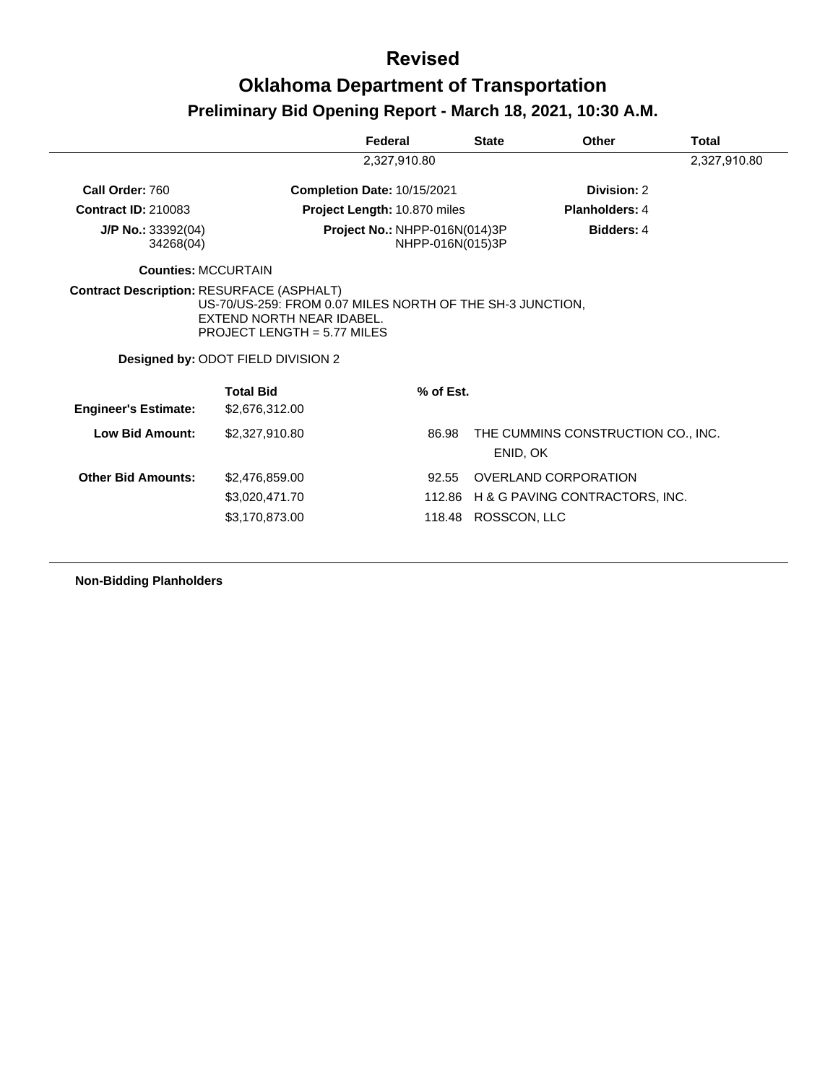|                                                  |                                                                                                                                                                                   | Federal                                           | <b>State</b> | Other                                 | Total        |
|--------------------------------------------------|-----------------------------------------------------------------------------------------------------------------------------------------------------------------------------------|---------------------------------------------------|--------------|---------------------------------------|--------------|
|                                                  |                                                                                                                                                                                   | 2,327,910.80                                      |              |                                       | 2,327,910.80 |
| Call Order: 760                                  |                                                                                                                                                                                   | Completion Date: 10/15/2021                       |              | Division: 2                           |              |
| <b>Contract ID: 210083</b>                       |                                                                                                                                                                                   | Project Length: 10.870 miles                      |              | <b>Planholders: 4</b>                 |              |
| J/P No.: 33392(04)<br>34268(04)                  |                                                                                                                                                                                   | Project No.: NHPP-016N(014)3P<br>NHPP-016N(015)3P |              | <b>Bidders: 4</b>                     |              |
| <b>Counties: MCCURTAIN</b>                       |                                                                                                                                                                                   |                                                   |              |                                       |              |
| <b>Contract Description: RESURFACE (ASPHALT)</b> |                                                                                                                                                                                   |                                                   |              |                                       |              |
|                                                  | US-70/US-259: FROM 0.07 MILES NORTH OF THE SH-3 JUNCTION,<br>EXTEND NORTH NEAR IDABEL.<br>PROJECT LENGTH = $5.77$ MILES<br>Designed by: ODOT FIELD DIVISION 2<br><b>Total Bid</b> | % of Est.                                         |              |                                       |              |
| <b>Engineer's Estimate:</b>                      | \$2,676,312.00                                                                                                                                                                    |                                                   |              |                                       |              |
| <b>Low Bid Amount:</b>                           | \$2,327,910.80                                                                                                                                                                    | 86.98                                             | ENID, OK     | THE CUMMINS CONSTRUCTION CO., INC.    |              |
| <b>Other Bid Amounts:</b>                        | \$2,476,859.00                                                                                                                                                                    | 92.55                                             |              | OVERLAND CORPORATION                  |              |
|                                                  | \$3,020,471.70                                                                                                                                                                    |                                                   |              | 112.86 H & G PAVING CONTRACTORS, INC. |              |

**Non-Bidding Planholders**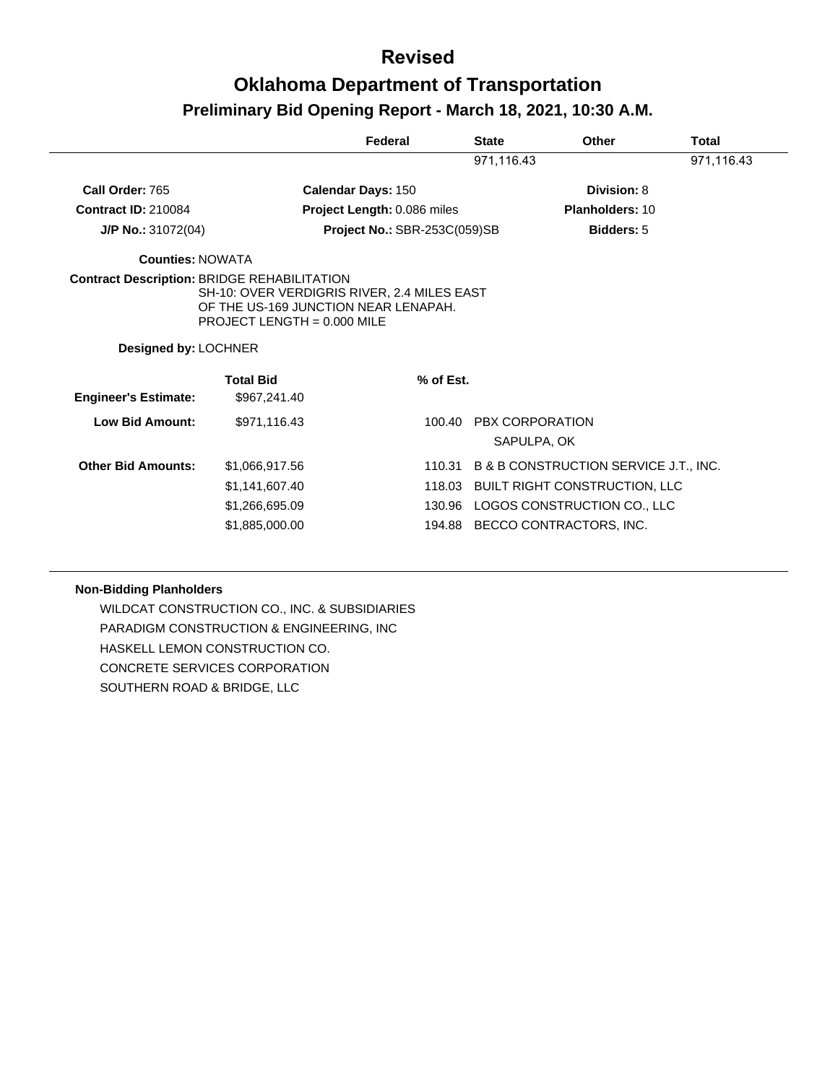|                                                                                   |                                                                                                                      | Federal                      | <b>State</b> | Other                                 | <b>Total</b> |
|-----------------------------------------------------------------------------------|----------------------------------------------------------------------------------------------------------------------|------------------------------|--------------|---------------------------------------|--------------|
|                                                                                   |                                                                                                                      |                              | 971,116.43   |                                       | 971,116.43   |
| Call Order: 765                                                                   |                                                                                                                      | <b>Calendar Days: 150</b>    |              | Division: 8                           |              |
| <b>Contract ID: 210084</b>                                                        |                                                                                                                      | Project Length: 0.086 miles  |              | <b>Planholders: 10</b>                |              |
| J/P No.: 31072(04)                                                                |                                                                                                                      | Project No.: SBR-253C(059)SB |              | <b>Bidders: 5</b>                     |              |
| <b>Counties: NOWATA</b>                                                           |                                                                                                                      |                              |              |                                       |              |
| <b>Contract Description: BRIDGE REHABILITATION</b><br><b>Designed by: LOCHNER</b> | SH-10: OVER VERDIGRIS RIVER, 2.4 MILES EAST<br>OF THE US-169 JUNCTION NEAR LENAPAH.<br>PROJECT LENGTH = $0.000$ MILE |                              |              |                                       |              |
| <b>Engineer's Estimate:</b>                                                       | <b>Total Bid</b><br>\$967,241.40                                                                                     | % of Est.                    |              |                                       |              |
| <b>Low Bid Amount:</b>                                                            | \$971,116.43                                                                                                         |                              | 100.40       | <b>PBX CORPORATION</b><br>SAPULPA, OK |              |
| <b>Other Bid Amounts:</b>                                                         | \$1,066,917.56                                                                                                       |                              | 110.31       | B & B CONSTRUCTION SERVICE J.T., INC. |              |
|                                                                                   | \$1,141,607.40                                                                                                       | 118.03                       |              | <b>BUILT RIGHT CONSTRUCTION, LLC</b>  |              |
|                                                                                   | \$1,266,695.09                                                                                                       |                              | 130.96       | LOGOS CONSTRUCTION CO., LLC           |              |
|                                                                                   | \$1,885,000.00                                                                                                       |                              | 194.88       | BECCO CONTRACTORS, INC.               |              |

#### **Non-Bidding Planholders**

WILDCAT CONSTRUCTION CO., INC. & SUBSIDIARIES PARADIGM CONSTRUCTION & ENGINEERING, INC HASKELL LEMON CONSTRUCTION CO. CONCRETE SERVICES CORPORATION SOUTHERN ROAD & BRIDGE, LLC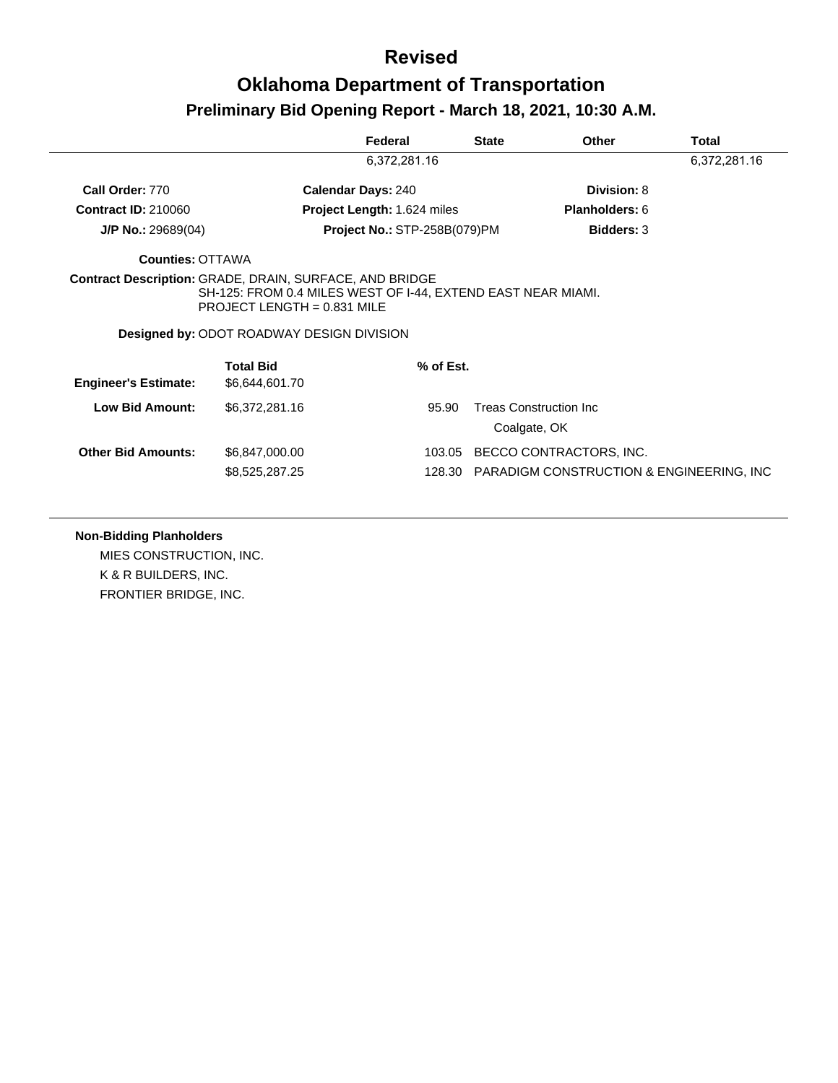|                             |                                                                                                                                                   | Federal                             | <b>State</b> | <b>Other</b>                   | Total        |
|-----------------------------|---------------------------------------------------------------------------------------------------------------------------------------------------|-------------------------------------|--------------|--------------------------------|--------------|
|                             |                                                                                                                                                   | 6,372,281.16                        |              |                                | 6,372,281.16 |
| Call Order: 770             |                                                                                                                                                   | <b>Calendar Days: 240</b>           |              | Division: 8                    |              |
| <b>Contract ID: 210060</b>  |                                                                                                                                                   | <b>Project Length: 1.624 miles</b>  |              | <b>Planholders: 6</b>          |              |
| $J/P$ No.: 29689(04)        |                                                                                                                                                   | <b>Project No.: STP-258B(079)PM</b> |              | <b>Bidders: 3</b>              |              |
| <b>Counties: OTTAWA</b>     |                                                                                                                                                   |                                     |              |                                |              |
|                             | SH-125: FROM 0.4 MILES WEST OF I-44, EXTEND EAST NEAR MIAMI.<br>PROJECT LENGTH = $0.831$ MILE<br><b>Designed by: ODOT ROADWAY DESIGN DIVISION</b> |                                     |              |                                |              |
| <b>Engineer's Estimate:</b> | <b>Total Bid</b><br>\$6,644,601.70                                                                                                                | % of Est.                           |              |                                |              |
|                             |                                                                                                                                                   |                                     |              |                                |              |
| Low Bid Amount:             | \$6,372,281.16                                                                                                                                    | 95.90                               | Coalgate, OK | <b>Treas Construction Inc.</b> |              |
| <b>Other Bid Amounts:</b>   | \$6,847,000.00                                                                                                                                    | 103.05                              |              | BECCO CONTRACTORS, INC.        |              |

#### **Non-Bidding Planholders**

MIES CONSTRUCTION, INC. K & R BUILDERS, INC. FRONTIER BRIDGE, INC.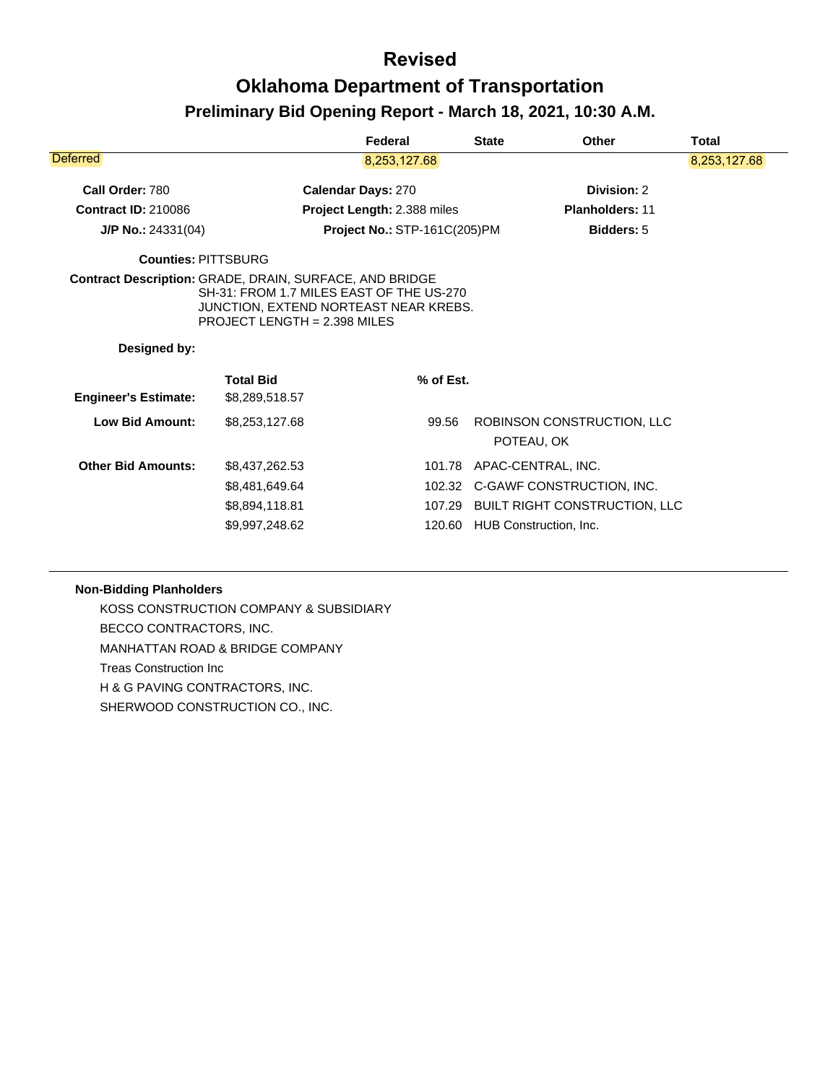|                             |                                                                                                                                                                                     | Federal                      | <b>State</b> | Other                                                                                                             | Total        |
|-----------------------------|-------------------------------------------------------------------------------------------------------------------------------------------------------------------------------------|------------------------------|--------------|-------------------------------------------------------------------------------------------------------------------|--------------|
| Deferred                    |                                                                                                                                                                                     | 8,253,127.68                 |              |                                                                                                                   | 8,253,127.68 |
| Call Order: 780             |                                                                                                                                                                                     | <b>Calendar Days: 270</b>    |              | Division: 2                                                                                                       |              |
| <b>Contract ID: 210086</b>  |                                                                                                                                                                                     | Project Length: 2.388 miles  |              | <b>Planholders: 11</b>                                                                                            |              |
| $J/P$ No.: 24331(04)        |                                                                                                                                                                                     | Project No.: STP-161C(205)PM |              | <b>Bidders: 5</b>                                                                                                 |              |
| <b>Counties: PITTSBURG</b>  |                                                                                                                                                                                     |                              |              |                                                                                                                   |              |
| Designed by:                | <b>Contract Description: GRADE, DRAIN, SURFACE, AND BRIDGE</b><br>SH-31: FROM 1.7 MILES EAST OF THE US-270<br>JUNCTION, EXTEND NORTEAST NEAR KREBS.<br>PROJECT LENGTH = 2.398 MILES |                              |              |                                                                                                                   |              |
| <b>Engineer's Estimate:</b> | <b>Total Bid</b><br>\$8,289,518.57                                                                                                                                                  | % of Est.                    |              |                                                                                                                   |              |
| <b>Low Bid Amount:</b>      | \$8,253,127.68                                                                                                                                                                      | 99.56                        |              | ROBINSON CONSTRUCTION, LLC<br>POTEAU, OK                                                                          |              |
| <b>Other Bid Amounts:</b>   | \$8,437,262.53<br>\$8,481,649.64<br>\$8,894,118.81<br>\$9,997,248.62                                                                                                                | 101.78<br>107.29<br>120.60   |              | APAC-CENTRAL, INC.<br>102.32 C-GAWF CONSTRUCTION, INC.<br>BUILT RIGHT CONSTRUCTION, LLC<br>HUB Construction, Inc. |              |
|                             |                                                                                                                                                                                     |                              |              |                                                                                                                   |              |

#### **Non-Bidding Planholders**

KOSS CONSTRUCTION COMPANY & SUBSIDIARY BECCO CONTRACTORS, INC. MANHATTAN ROAD & BRIDGE COMPANY Treas Construction Inc H & G PAVING CONTRACTORS, INC. SHERWOOD CONSTRUCTION CO., INC.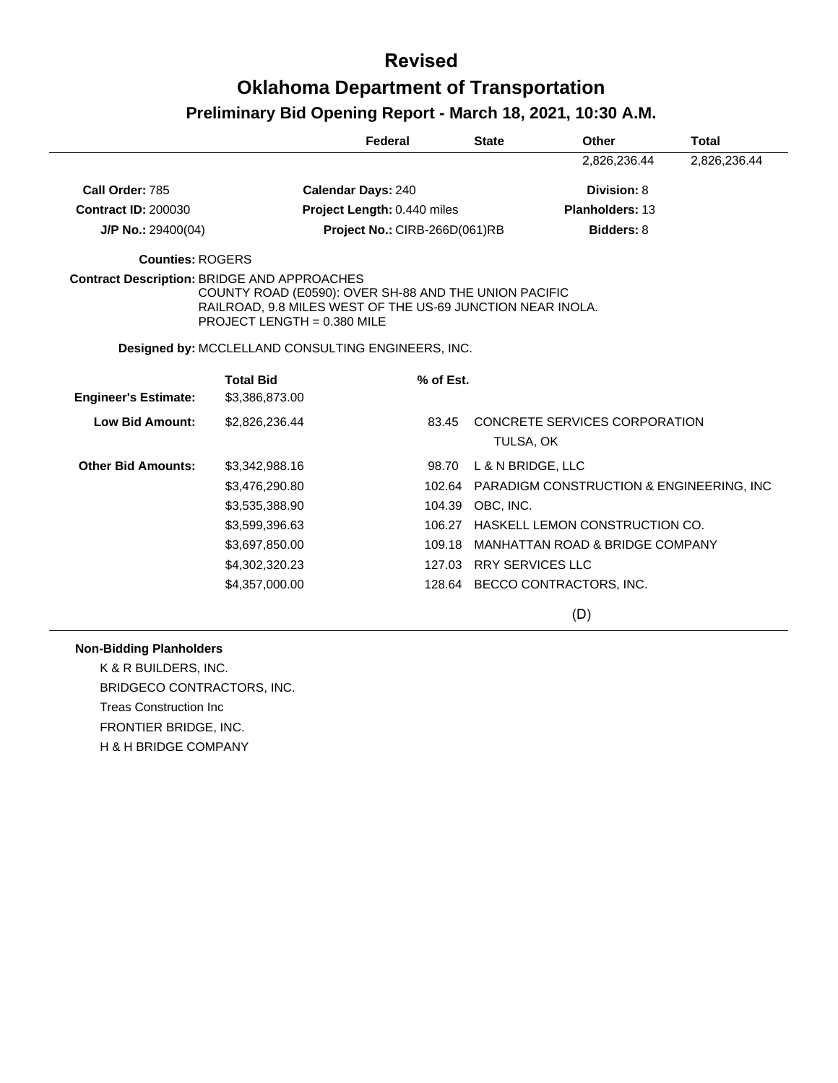|                                                    |                                                                                                                                                    | Federal                       |           | <b>State</b>            | <b>Other</b>                                    | <b>Total</b> |
|----------------------------------------------------|----------------------------------------------------------------------------------------------------------------------------------------------------|-------------------------------|-----------|-------------------------|-------------------------------------------------|--------------|
|                                                    |                                                                                                                                                    |                               |           |                         | 2,826,236.44                                    | 2,826,236.44 |
| Call Order: 785                                    |                                                                                                                                                    | <b>Calendar Days: 240</b>     |           |                         | Division: 8                                     |              |
| <b>Contract ID: 200030</b>                         |                                                                                                                                                    | Project Length: 0.440 miles   |           |                         | Planholders: 13                                 |              |
| $J/P$ No.: 29400(04)                               |                                                                                                                                                    | Project No.: CIRB-266D(061)RB |           |                         | Bidders: 8                                      |              |
| Counties: ROGERS                                   |                                                                                                                                                    |                               |           |                         |                                                 |              |
| <b>Contract Description: BRIDGE AND APPROACHES</b> | COUNTY ROAD (E0590): OVER SH-88 AND THE UNION PACIFIC<br>RAILROAD, 9.8 MILES WEST OF THE US-69 JUNCTION NEAR INOLA.<br>PROJECT LENGTH = 0.380 MILE |                               |           |                         |                                                 |              |
|                                                    | Designed by: MCCLELLAND CONSULTING ENGINEERS, INC.                                                                                                 |                               |           |                         |                                                 |              |
| <b>Engineer's Estimate:</b>                        | <b>Total Bid</b><br>\$3,386,873.00                                                                                                                 |                               | % of Est. |                         |                                                 |              |
| <b>Low Bid Amount:</b>                             | \$2,826,236.44                                                                                                                                     |                               | 83.45     | TULSA, OK               | CONCRETE SERVICES CORPORATION                   |              |
| <b>Other Bid Amounts:</b>                          | \$3,342,988.16                                                                                                                                     |                               | 98.70     | L & N BRIDGE, LLC       |                                                 |              |
|                                                    | \$3,476,290.80                                                                                                                                     |                               |           |                         | 102.64 PARADIGM CONSTRUCTION & ENGINEERING, INC |              |
|                                                    | \$3,535,388.90                                                                                                                                     |                               | 104.39    | OBC, INC.               |                                                 |              |
|                                                    | \$3,599,396.63                                                                                                                                     |                               | 106.27    |                         | HASKELL LEMON CONSTRUCTION CO.                  |              |
|                                                    | \$3,697,850.00                                                                                                                                     |                               | 109.18    |                         | MANHATTAN ROAD & BRIDGE COMPANY                 |              |
|                                                    | \$4,302,320.23                                                                                                                                     |                               |           | 127.03 RRY SERVICES LLC |                                                 |              |
|                                                    | \$4,357,000.00                                                                                                                                     |                               | 128.64    |                         | BECCO CONTRACTORS, INC.                         |              |

(D)

#### **Non-Bidding Planholders**

K & R BUILDERS, INC. BRIDGECO CONTRACTORS, INC. Treas Construction Inc FRONTIER BRIDGE, INC. H & H BRIDGE COMPANY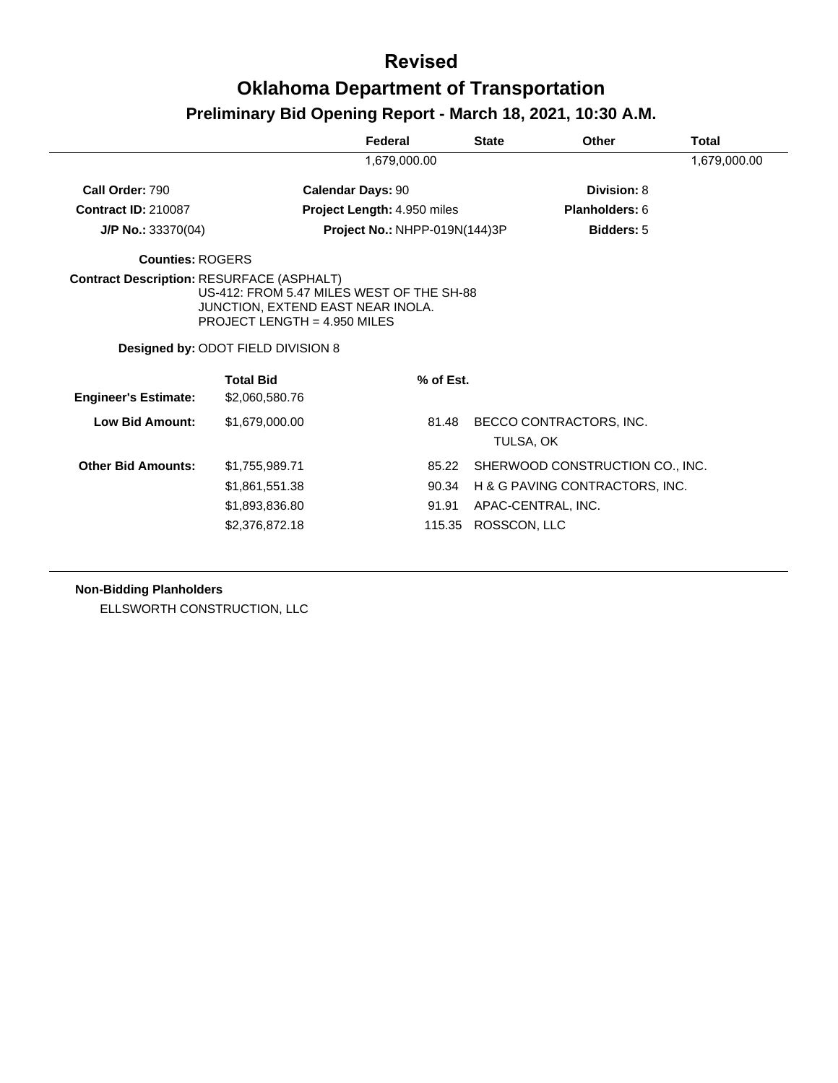#### **Revised**

# **Oklahoma Department of Transportation**

### **Preliminary Bid Opening Report - March 18, 2021, 10:30 A.M.**

|                                                  |                                                                                                                                                        | Federal                           | <b>State</b> | Other                                                                                                   | Total        |
|--------------------------------------------------|--------------------------------------------------------------------------------------------------------------------------------------------------------|-----------------------------------|--------------|---------------------------------------------------------------------------------------------------------|--------------|
|                                                  |                                                                                                                                                        | 1,679,000.00                      |              |                                                                                                         | 1,679,000.00 |
| Call Order: 790                                  | <b>Calendar Days: 90</b>                                                                                                                               |                                   |              | Division: 8                                                                                             |              |
| <b>Contract ID: 210087</b>                       |                                                                                                                                                        | Project Length: 4.950 miles       |              | Planholders: 6                                                                                          |              |
| $J/P$ No.: 33370(04)                             |                                                                                                                                                        | Project No.: NHPP-019N(144)3P     |              | <b>Bidders: 5</b>                                                                                       |              |
| <b>Counties: ROGERS</b>                          |                                                                                                                                                        |                                   |              |                                                                                                         |              |
| <b>Contract Description: RESURFACE (ASPHALT)</b> | US-412: FROM 5.47 MILES WEST OF THE SH-88<br>JUNCTION, EXTEND EAST NEAR INOLA.<br>PROJECT LENGTH = $4.950$ MILES<br>Designed by: ODOT FIELD DIVISION 8 |                                   |              |                                                                                                         |              |
| <b>Engineer's Estimate:</b>                      | <b>Total Bid</b><br>\$2,060,580.76                                                                                                                     | % of Est.                         |              |                                                                                                         |              |
| Low Bid Amount:                                  | \$1,679,000.00                                                                                                                                         | 81.48                             |              | BECCO CONTRACTORS, INC.<br>TULSA, OK                                                                    |              |
| <b>Other Bid Amounts:</b>                        | \$1,755,989.71<br>\$1,861,551.38<br>\$1,893,836.80<br>\$2,376,872.18                                                                                   | 85.22<br>90.34<br>91.91<br>115.35 |              | SHERWOOD CONSTRUCTION CO., INC.<br>H & G PAVING CONTRACTORS, INC.<br>APAC-CENTRAL, INC.<br>ROSSCON, LLC |              |

#### **Non-Bidding Planholders**

ELLSWORTH CONSTRUCTION, LLC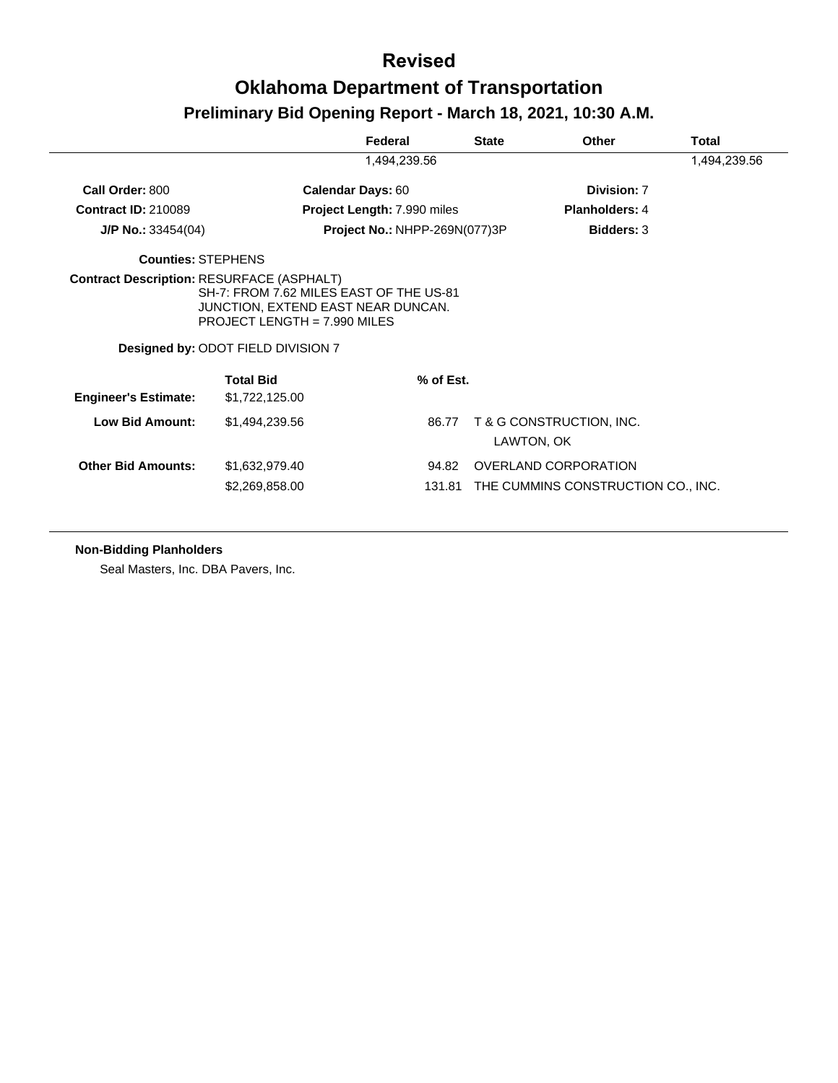|                             |                                                                                                                                                       | Federal                       | <b>State</b>    | <b>Other</b>                                               | Total        |
|-----------------------------|-------------------------------------------------------------------------------------------------------------------------------------------------------|-------------------------------|-----------------|------------------------------------------------------------|--------------|
|                             |                                                                                                                                                       | 1,494,239.56                  |                 |                                                            | 1,494,239.56 |
| Call Order: 800             |                                                                                                                                                       | <b>Calendar Days: 60</b>      |                 | Division: 7                                                |              |
| <b>Contract ID: 210089</b>  |                                                                                                                                                       | Project Length: 7.990 miles   |                 | <b>Planholders: 4</b>                                      |              |
| <b>J/P No.:</b> $33454(04)$ |                                                                                                                                                       | Project No.: NHPP-269N(077)3P |                 | <b>Bidders: 3</b>                                          |              |
| <b>Counties: STEPHENS</b>   |                                                                                                                                                       |                               |                 |                                                            |              |
|                             | SH-7: FROM 7.62 MILES EAST OF THE US-81<br>JUNCTION, EXTEND EAST NEAR DUNCAN.<br>PROJECT LENGTH = $7.990$ MILES<br>Designed by: ODOT FIELD DIVISION 7 |                               |                 |                                                            |              |
| <b>Engineer's Estimate:</b> | <b>Total Bid</b><br>\$1,722,125.00                                                                                                                    |                               | % of Est.       |                                                            |              |
| <b>Low Bid Amount:</b>      | \$1,494,239.56                                                                                                                                        |                               | 86.77           | T & G CONSTRUCTION, INC.<br>LAWTON, OK                     |              |
| <b>Other Bid Amounts:</b>   | \$1,632,979.40<br>\$2,269,858.00                                                                                                                      |                               | 94.82<br>131.81 | OVERLAND CORPORATION<br>THE CUMMINS CONSTRUCTION CO., INC. |              |

#### **Non-Bidding Planholders**

Seal Masters, Inc. DBA Pavers, Inc.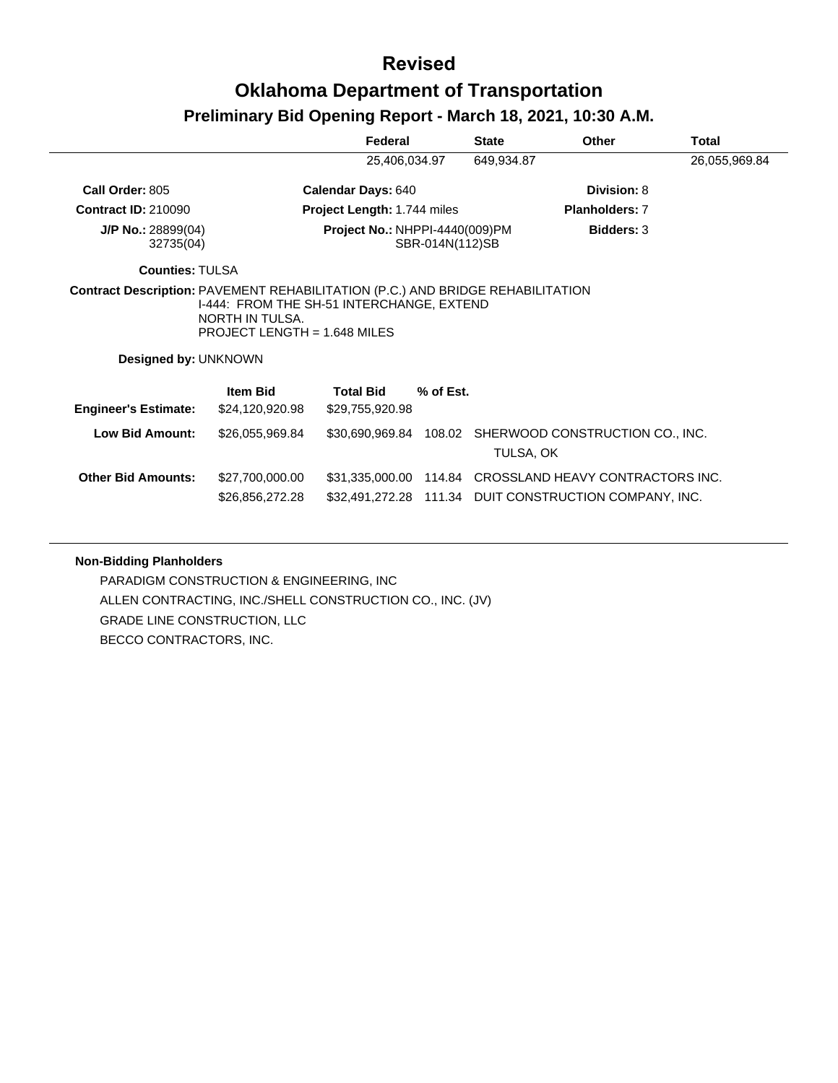|                                                                                                        |                                                                                                | Federal                             |                 | <b>State</b> | Other                                                                                             | Total         |
|--------------------------------------------------------------------------------------------------------|------------------------------------------------------------------------------------------------|-------------------------------------|-----------------|--------------|---------------------------------------------------------------------------------------------------|---------------|
|                                                                                                        |                                                                                                | 25,406,034.97                       |                 | 649,934.87   |                                                                                                   | 26,055,969.84 |
| Call Order: 805                                                                                        |                                                                                                | <b>Calendar Days: 640</b>           |                 |              | Division: 8                                                                                       |               |
| <b>Contract ID: 210090</b>                                                                             |                                                                                                | <b>Project Length: 1.744 miles</b>  |                 |              | <b>Planholders: 7</b>                                                                             |               |
| $J/P$ No.: 28899(04)<br>32735(04)                                                                      |                                                                                                | Project No.: NHPPI-4440(009)PM      | SBR-014N(112)SB |              | <b>Bidders: 3</b>                                                                                 |               |
| <b>Counties: TULSA</b>                                                                                 |                                                                                                |                                     |                 |              |                                                                                                   |               |
| Contract Description: PAVEMENT REHABILITATION (P.C.) AND BRIDGE REHABILITATION<br>Designed by: UNKNOWN | I-444: FROM THE SH-51 INTERCHANGE, EXTEND<br>NORTH IN TULSA.<br>PROJECT LENGTH = $1.648$ MILES |                                     |                 |              |                                                                                                   |               |
| <b>Engineer's Estimate:</b>                                                                            | <b>Item Bid</b><br>\$24,120,920.98                                                             | <b>Total Bid</b><br>\$29,755,920.98 | % of Est.       |              |                                                                                                   |               |
| <b>Low Bid Amount:</b>                                                                                 | \$26,055,969.84                                                                                |                                     |                 | TULSA, OK    | \$30,690,969.84 108.02 SHERWOOD CONSTRUCTION CO., INC.                                            |               |
| <b>Other Bid Amounts:</b>                                                                              | \$27,700,000.00<br>\$26,856,272.28                                                             | \$31,335,000.00                     |                 |              | 114.84 CROSSLAND HEAVY CONTRACTORS INC.<br>\$32,491,272.28 111.34 DUIT CONSTRUCTION COMPANY, INC. |               |

#### **Non-Bidding Planholders**

PARADIGM CONSTRUCTION & ENGINEERING, INC ALLEN CONTRACTING, INC./SHELL CONSTRUCTION CO., INC. (JV) GRADE LINE CONSTRUCTION, LLC BECCO CONTRACTORS, INC.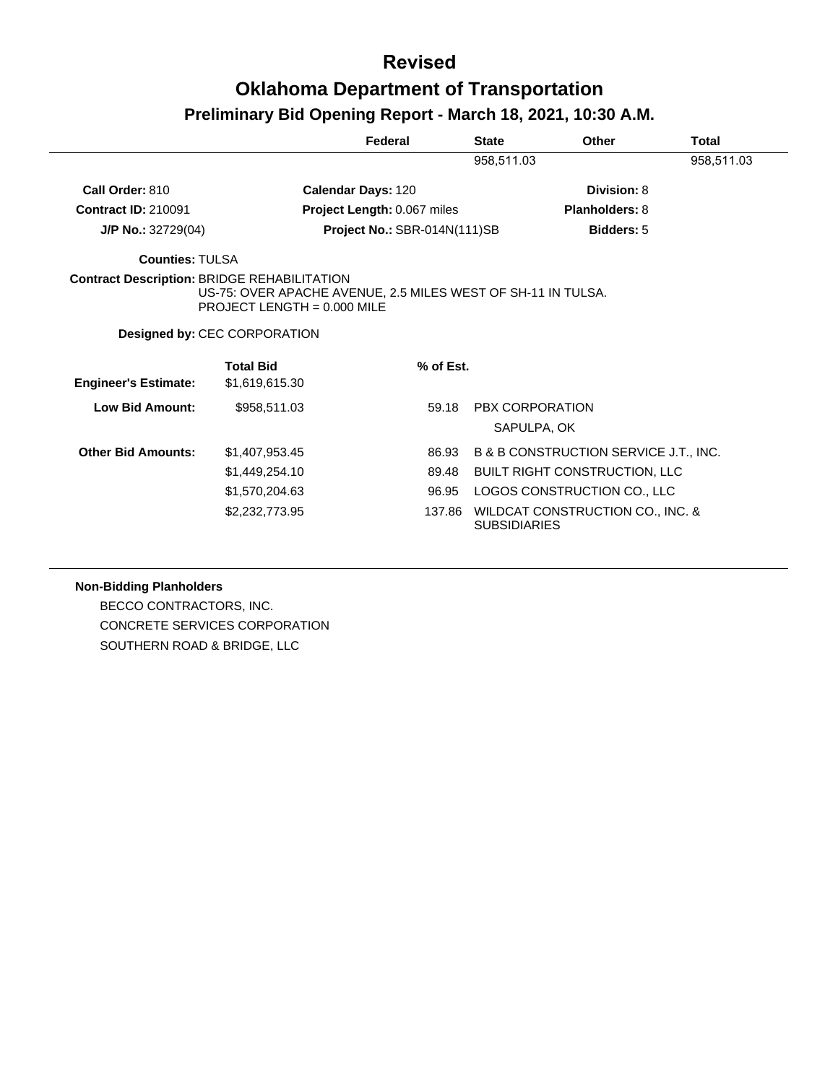|                             |                                                                                                                                                     | Federal                      | <b>State</b>        | Other                                 | Total      |
|-----------------------------|-----------------------------------------------------------------------------------------------------------------------------------------------------|------------------------------|---------------------|---------------------------------------|------------|
|                             |                                                                                                                                                     |                              | 958,511.03          |                                       | 958,511.03 |
| Call Order: 810             |                                                                                                                                                     | <b>Calendar Days: 120</b>    |                     | Division: 8                           |            |
| <b>Contract ID: 210091</b>  |                                                                                                                                                     | Project Length: 0.067 miles  |                     | <b>Planholders: 8</b>                 |            |
| $J/P$ No.: 32729(04)        |                                                                                                                                                     | Project No.: SBR-014N(111)SB |                     | <b>Bidders: 5</b>                     |            |
| <b>Counties: TULSA</b>      |                                                                                                                                                     |                              |                     |                                       |            |
|                             | <b>Contract Description: BRIDGE REHABILITATION</b><br>US-75: OVER APACHE AVENUE, 2.5 MILES WEST OF SH-11 IN TULSA.<br>PROJECT LENGTH = $0.000$ MILE |                              |                     |                                       |            |
|                             | <b>Designed by: CEC CORPORATION</b>                                                                                                                 |                              |                     |                                       |            |
|                             | <b>Total Bid</b>                                                                                                                                    | % of Est.                    |                     |                                       |            |
| <b>Engineer's Estimate:</b> | \$1,619,615.30                                                                                                                                      |                              |                     |                                       |            |
| <b>Low Bid Amount:</b>      | \$958,511.03                                                                                                                                        | 59.18                        |                     | <b>PBX CORPORATION</b><br>SAPULPA, OK |            |
| <b>Other Bid Amounts:</b>   | \$1,407,953.45                                                                                                                                      | 86.93                        |                     | B & B CONSTRUCTION SERVICE J.T., INC. |            |
|                             | \$1,449,254.10                                                                                                                                      | 89.48                        |                     | <b>BUILT RIGHT CONSTRUCTION, LLC</b>  |            |
|                             | \$1,570,204.63                                                                                                                                      | 96.95                        |                     | LOGOS CONSTRUCTION CO., LLC           |            |
|                             | \$2,232,773.95                                                                                                                                      | 137.86                       | <b>SUBSIDIARIES</b> | WILDCAT CONSTRUCTION CO., INC. &      |            |

**Non-Bidding Planholders**

BECCO CONTRACTORS, INC. CONCRETE SERVICES CORPORATION SOUTHERN ROAD & BRIDGE, LLC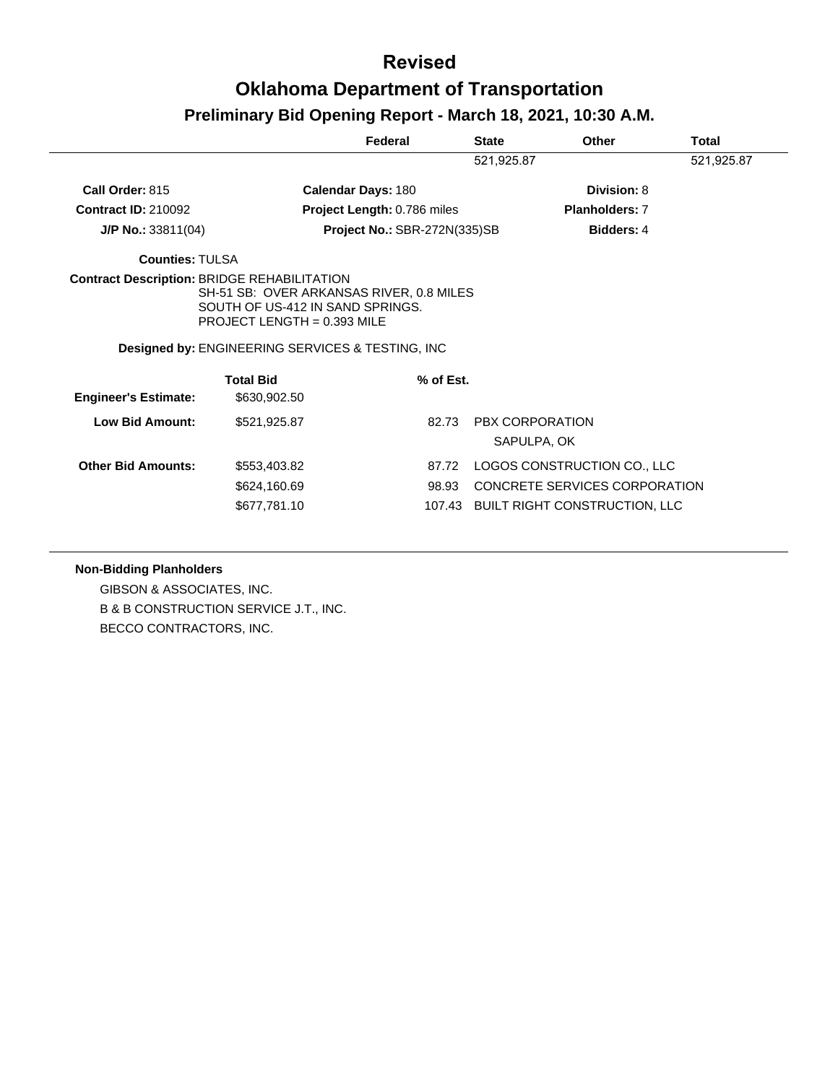|                                                    |                                                                                                                                                                               | Federal                      | <b>State</b> | Other                                | <b>Total</b> |
|----------------------------------------------------|-------------------------------------------------------------------------------------------------------------------------------------------------------------------------------|------------------------------|--------------|--------------------------------------|--------------|
|                                                    |                                                                                                                                                                               |                              | 521,925.87   |                                      | 521,925.87   |
| Call Order: 815                                    | <b>Calendar Days: 180</b>                                                                                                                                                     |                              |              | Division: 8                          |              |
| <b>Contract ID: 210092</b>                         |                                                                                                                                                                               | Project Length: 0.786 miles  |              | <b>Planholders: 7</b>                |              |
| $J/P$ No.: 33811(04)                               |                                                                                                                                                                               | Project No.: SBR-272N(335)SB |              | <b>Bidders: 4</b>                    |              |
| <b>Counties: TULSA</b>                             |                                                                                                                                                                               |                              |              |                                      |              |
| <b>Contract Description: BRIDGE REHABILITATION</b> | SH-51 SB: OVER ARKANSAS RIVER, 0.8 MILES<br>SOUTH OF US-412 IN SAND SPRINGS.<br>PROJECT LENGTH = $0.393$ MILE<br><b>Designed by: ENGINEERING SERVICES &amp; TESTING, INC.</b> |                              |              |                                      |              |
|                                                    | <b>Total Bid</b>                                                                                                                                                              | $%$ of Est.                  |              |                                      |              |
| <b>Engineer's Estimate:</b>                        | \$630,902.50                                                                                                                                                                  |                              |              |                                      |              |
| <b>Low Bid Amount:</b>                             | \$521,925.87                                                                                                                                                                  | 82.73                        |              | PBX CORPORATION                      |              |
|                                                    |                                                                                                                                                                               |                              |              | SAPULPA, OK                          |              |
| <b>Other Bid Amounts:</b>                          | \$553,403.82                                                                                                                                                                  | 87.72                        |              | LOGOS CONSTRUCTION CO., LLC          |              |
|                                                    | \$624,160.69                                                                                                                                                                  | 98.93                        |              | CONCRETE SERVICES CORPORATION        |              |
|                                                    | \$677,781.10                                                                                                                                                                  |                              |              | 107.43 BUILT RIGHT CONSTRUCTION, LLC |              |

**Non-Bidding Planholders**

GIBSON & ASSOCIATES, INC. B & B CONSTRUCTION SERVICE J.T., INC. BECCO CONTRACTORS, INC.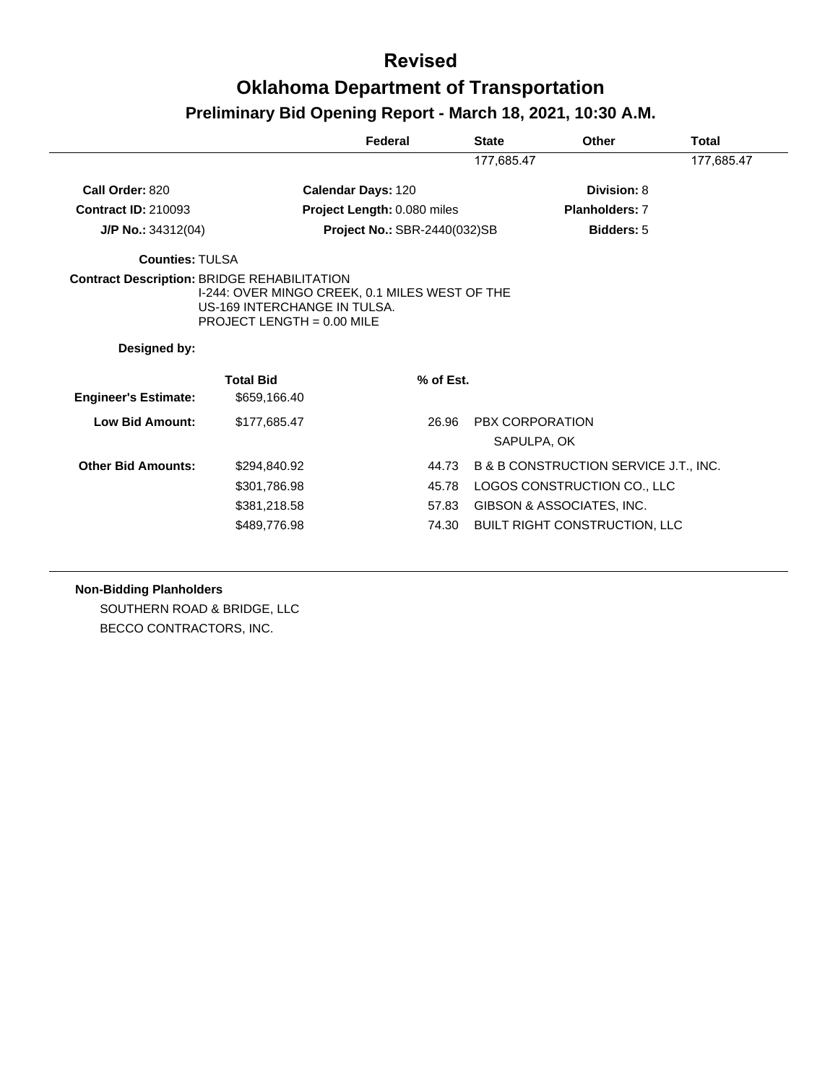|                                                                    |                                                                                                                | Federal                             | <b>State</b> | Other                                            | Total      |
|--------------------------------------------------------------------|----------------------------------------------------------------------------------------------------------------|-------------------------------------|--------------|--------------------------------------------------|------------|
|                                                                    |                                                                                                                |                                     | 177,685.47   |                                                  | 177,685.47 |
| Call Order: 820                                                    |                                                                                                                | Calendar Days: 120                  |              | Division: 8                                      |            |
| <b>Contract ID: 210093</b>                                         |                                                                                                                | Project Length: 0.080 miles         |              | <b>Planholders: 7</b>                            |            |
| $J/P$ No.: 34312(04)                                               |                                                                                                                | <b>Project No.: SBR-2440(032)SB</b> |              | <b>Bidders: 5</b>                                |            |
| <b>Counties: TULSA</b>                                             |                                                                                                                |                                     |              |                                                  |            |
| <b>Contract Description: BRIDGE REHABILITATION</b><br>Designed by: | I-244: OVER MINGO CREEK, 0.1 MILES WEST OF THE<br>US-169 INTERCHANGE IN TULSA.<br>PROJECT LENGTH = $0.00$ MILE |                                     |              |                                                  |            |
| <b>Engineer's Estimate:</b>                                        | <b>Total Bid</b><br>\$659,166.40                                                                               | % of Est.                           |              |                                                  |            |
| Low Bid Amount:                                                    | \$177.685.47                                                                                                   | 26.96                               |              | PBX CORPORATION<br>SAPULPA, OK                   |            |
| <b>Other Bid Amounts:</b>                                          | \$294,840.92                                                                                                   | 44.73                               |              | <b>B &amp; B CONSTRUCTION SERVICE J.T., INC.</b> |            |
|                                                                    | \$301,786.98                                                                                                   | 45.78                               |              | LOGOS CONSTRUCTION CO., LLC                      |            |
|                                                                    | \$381,218.58                                                                                                   | 57.83                               |              | GIBSON & ASSOCIATES, INC.                        |            |
|                                                                    | \$489,776.98                                                                                                   | 74.30                               |              |                                                  |            |

#### **Non-Bidding Planholders**

SOUTHERN ROAD & BRIDGE, LLC BECCO CONTRACTORS, INC.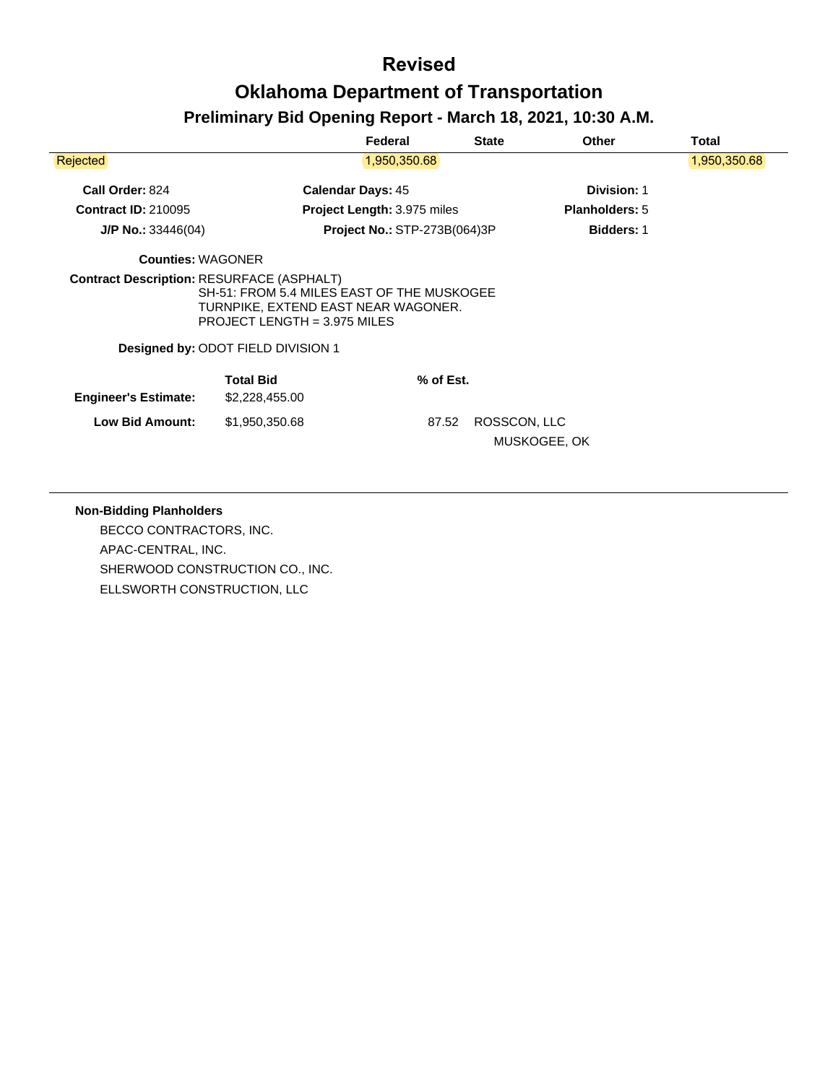|                             |                                                                                                                                                         | Federal                             | <b>State</b> | Other                 | Total        |
|-----------------------------|---------------------------------------------------------------------------------------------------------------------------------------------------------|-------------------------------------|--------------|-----------------------|--------------|
| Rejected                    |                                                                                                                                                         | 1,950,350.68                        |              |                       | 1,950,350.68 |
| Call Order: 824             |                                                                                                                                                         | <b>Calendar Days: 45</b>            |              | <b>Division: 1</b>    |              |
| <b>Contract ID: 210095</b>  |                                                                                                                                                         | <b>Project Length: 3.975 miles</b>  |              | <b>Planholders: 5</b> |              |
| $J/P$ No.: 33446(04)        |                                                                                                                                                         | <b>Project No.: STP-273B(064)3P</b> |              | <b>Bidders: 1</b>     |              |
| <b>Counties: WAGONER</b>    |                                                                                                                                                         |                                     |              |                       |              |
|                             | SH-51: FROM 5.4 MILES EAST OF THE MUSKOGEE<br>TURNPIKE, EXTEND EAST NEAR WAGONER.<br>PROJECT LENGTH = 3.975 MILES<br>Designed by: ODOT FIELD DIVISION 1 |                                     |              |                       |              |
| <b>Engineer's Estimate:</b> | <b>Total Bid</b><br>\$2,228,455.00                                                                                                                      | % of Est.                           |              |                       |              |
| <b>Low Bid Amount:</b>      | \$1,950,350.68                                                                                                                                          | 87.52                               | ROSSCON, LLC | MUSKOGEE, OK          |              |

#### **Non-Bidding Planholders**

BECCO CONTRACTORS, INC. APAC-CENTRAL, INC. SHERWOOD CONSTRUCTION CO., INC. ELLSWORTH CONSTRUCTION, LLC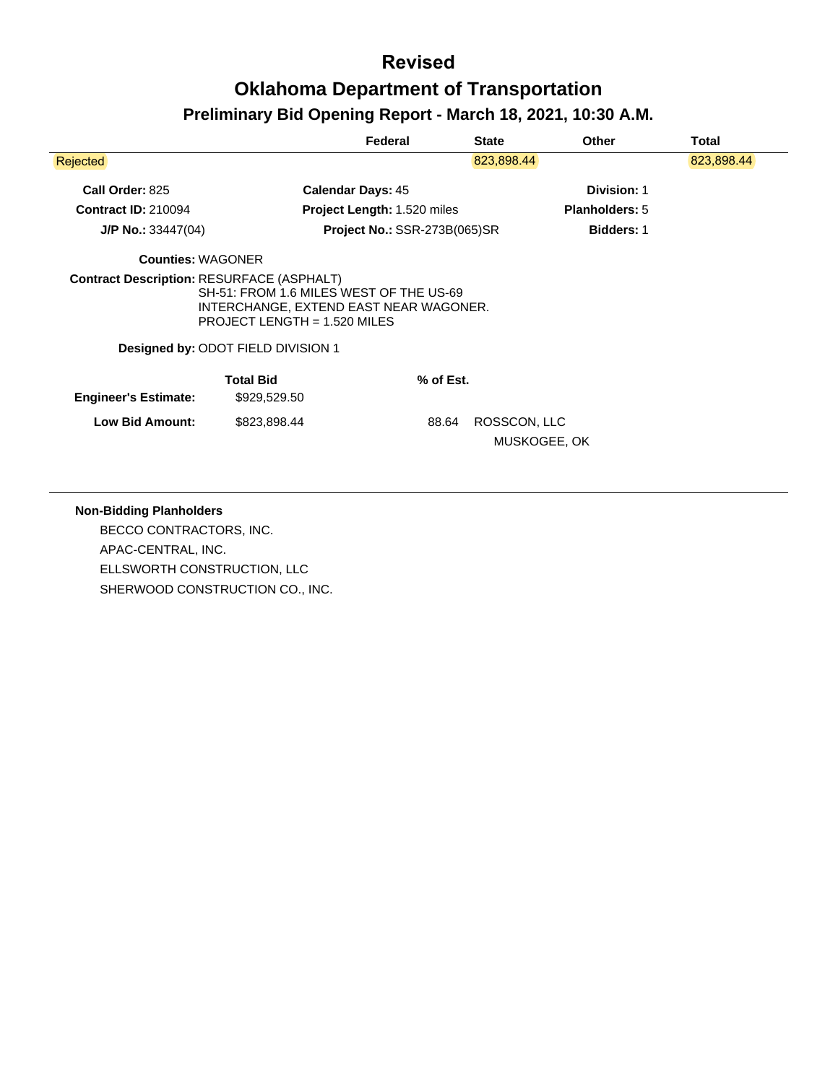|                                                  |                                                                                                                                                           | Federal                             | <b>State</b> | <b>Other</b>          | <b>Total</b> |
|--------------------------------------------------|-----------------------------------------------------------------------------------------------------------------------------------------------------------|-------------------------------------|--------------|-----------------------|--------------|
| <b>Rejected</b>                                  |                                                                                                                                                           |                                     | 823,898.44   |                       | 823,898.44   |
| Call Order: 825                                  |                                                                                                                                                           | <b>Calendar Days: 45</b>            |              | Division: 1           |              |
| <b>Contract ID: 210094</b>                       |                                                                                                                                                           | Project Length: 1.520 miles         |              | <b>Planholders: 5</b> |              |
| $J/P$ No.: 33447(04)                             |                                                                                                                                                           | <b>Project No.: SSR-273B(065)SR</b> |              | <b>Bidders: 1</b>     |              |
| <b>Counties: WAGONER</b>                         |                                                                                                                                                           |                                     |              |                       |              |
| <b>Contract Description: RESURFACE (ASPHALT)</b> | SH-51: FROM 1.6 MILES WEST OF THE US-69<br>INTERCHANGE, EXTEND EAST NEAR WAGONER.<br>PROJECT LENGTH = $1.520$ MILES<br>Designed by: ODOT FIELD DIVISION 1 |                                     |              |                       |              |
| <b>Engineer's Estimate:</b>                      | <b>Total Bid</b><br>\$929,529.50                                                                                                                          | % of Est.                           |              |                       |              |
| <b>Low Bid Amount:</b>                           | \$823,898.44                                                                                                                                              | 88.64                               | ROSSCON, LLC |                       |              |

#### **Non-Bidding Planholders**

BECCO CONTRACTORS, INC. APAC-CENTRAL, INC. ELLSWORTH CONSTRUCTION, LLC SHERWOOD CONSTRUCTION CO., INC.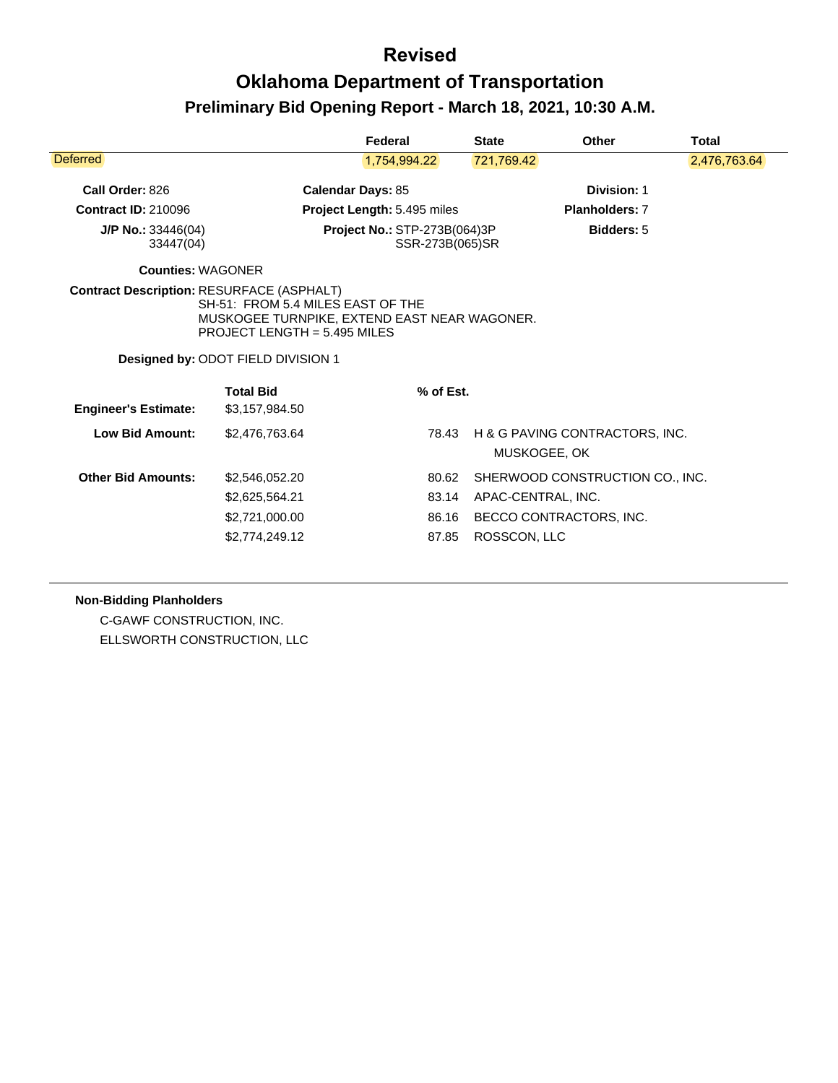|                                                  |                                                                                                                                                                       | Federal                                                | <b>State</b>       | <b>Other</b>                                   | <b>Total</b> |  |
|--------------------------------------------------|-----------------------------------------------------------------------------------------------------------------------------------------------------------------------|--------------------------------------------------------|--------------------|------------------------------------------------|--------------|--|
| Deferred                                         |                                                                                                                                                                       | 1,754,994.22                                           | 721,769.42         |                                                | 2,476,763.64 |  |
| Call Order: 826                                  |                                                                                                                                                                       | <b>Calendar Days: 85</b>                               |                    | <b>Division: 1</b>                             |              |  |
| <b>Contract ID: 210096</b>                       |                                                                                                                                                                       | Project Length: 5.495 miles                            |                    | <b>Planholders: 7</b>                          |              |  |
| $J/P$ No.: 33446(04)<br>33447(04)                |                                                                                                                                                                       | <b>Project No.: STP-273B(064)3P</b><br>SSR-273B(065)SR |                    | <b>Bidders: 5</b>                              |              |  |
| <b>Counties: WAGONER</b>                         |                                                                                                                                                                       |                                                        |                    |                                                |              |  |
| <b>Contract Description: RESURFACE (ASPHALT)</b> | SH-51: FROM 5.4 MILES EAST OF THE<br>MUSKOGEE TURNPIKE, EXTEND EAST NEAR WAGONER.<br><b>PROJECT LENGTH = 5.495 MILES</b><br><b>Designed by: ODOT FIELD DIVISION 1</b> |                                                        |                    |                                                |              |  |
| <b>Engineer's Estimate:</b>                      | <b>Total Bid</b><br>\$3,157,984.50                                                                                                                                    | % of Est.                                              |                    |                                                |              |  |
| Low Bid Amount:                                  | \$2,476,763.64                                                                                                                                                        | 78.43                                                  |                    | H & G PAVING CONTRACTORS, INC.<br>MUSKOGEE, OK |              |  |
| <b>Other Bid Amounts:</b>                        | \$2,546,052.20                                                                                                                                                        | 80.62                                                  |                    | SHERWOOD CONSTRUCTION CO., INC.                |              |  |
|                                                  | \$2,625,564.21                                                                                                                                                        | 83.14                                                  | APAC-CENTRAL, INC. |                                                |              |  |
|                                                  | \$2,721,000.00                                                                                                                                                        | 86.16                                                  |                    | BECCO CONTRACTORS, INC.                        |              |  |
|                                                  | \$2,774,249.12                                                                                                                                                        | 87.85                                                  | ROSSCON, LLC       |                                                |              |  |
|                                                  |                                                                                                                                                                       |                                                        |                    |                                                |              |  |

#### **Non-Bidding Planholders**

C-GAWF CONSTRUCTION, INC. ELLSWORTH CONSTRUCTION, LLC